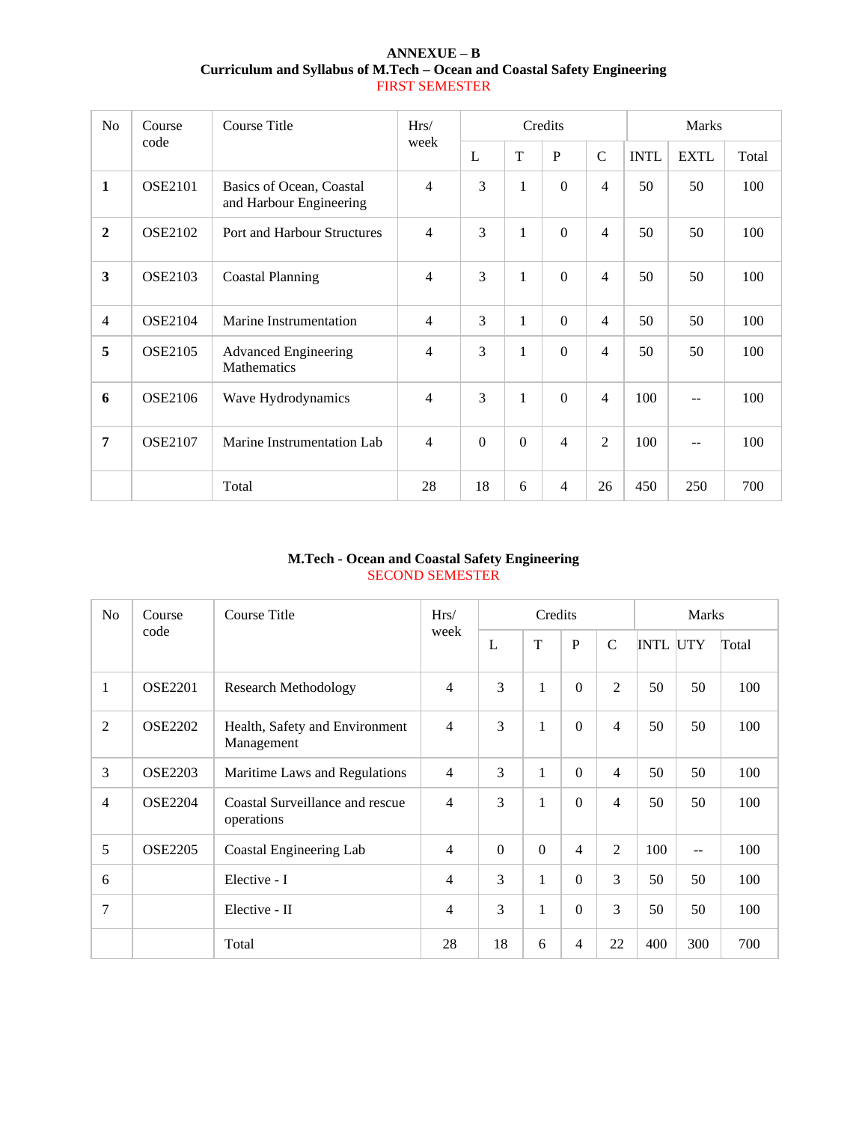| $ANNEXUE - B$                                                            |
|--------------------------------------------------------------------------|
| Curriculum and Syllabus of M.Tech – Ocean and Coastal Safety Engineering |
| <b>FIRST SEMESTER</b>                                                    |

| N <sub>o</sub>          | Course         | Course Title                                        | Hrs/           |                |              | Credits        |                          |             | <b>Marks</b> |       |
|-------------------------|----------------|-----------------------------------------------------|----------------|----------------|--------------|----------------|--------------------------|-------------|--------------|-------|
|                         | code           |                                                     | week           | L              | T            | $\mathbf{P}$   | $\mathcal{C}$            | <b>INTL</b> | <b>EXTL</b>  | Total |
| $\mathbf{1}$            | <b>OSE2101</b> | Basics of Ocean, Coastal<br>and Harbour Engineering | $\overline{4}$ | 3              | $\mathbf{1}$ | $\Omega$       | $\overline{4}$           | 50          | 50           | 100   |
| $\overline{2}$          | <b>OSE2102</b> | Port and Harbour Structures                         | $\overline{4}$ | 3              | $\mathbf{1}$ | $\Omega$       | $\overline{4}$           | 50          | 50           | 100   |
| $\overline{\mathbf{3}}$ | <b>OSE2103</b> | <b>Coastal Planning</b>                             | 4              | 3              | $\mathbf{1}$ | $\overline{0}$ | $\overline{\mathcal{L}}$ | 50          | 50           | 100   |
| $\overline{4}$          | <b>OSE2104</b> | Marine Instrumentation                              | 4              | 3              | $\mathbf{1}$ | $\Omega$       | $\overline{4}$           | 50          | 50           | 100   |
| 5                       | <b>OSE2105</b> | <b>Advanced Engineering</b><br>Mathematics          | 4              | 3              | $\mathbf{1}$ | $\Omega$       | 4                        | 50          | 50           | 100   |
| 6                       | <b>OSE2106</b> | Wave Hydrodynamics                                  | 4              | 3              | $\mathbf{1}$ | $\Omega$       | $\overline{4}$           | 100         | $-$          | 100   |
| 7                       | <b>OSE2107</b> | Marine Instrumentation Lab                          | 4              | $\overline{0}$ | $\Omega$     | $\overline{4}$ | $\overline{2}$           | 100         | $-1$         | 100   |
|                         |                | Total                                               | 28             | 18             | 6            | $\overline{4}$ | 26                       | 450         | 250          | 700   |

# **M.Tech - Ocean and Coastal Safety Engineering** SECOND SEMESTER

| N <sub>o</sub> | Course Title<br>Course |                                               | Hrs/           |          | Credits  |                |                |                 | <b>Marks</b> |       |
|----------------|------------------------|-----------------------------------------------|----------------|----------|----------|----------------|----------------|-----------------|--------------|-------|
|                | code                   |                                               | week           | L        | T        | ${\bf P}$      | $\mathbf C$    | <b>INTL UTY</b> |              | Total |
| $\mathbf{1}$   | <b>OSE2201</b>         | <b>Research Methodology</b>                   | $\overline{4}$ | 3        | 1        | $\Omega$       | $\overline{2}$ | 50              | 50           | 100   |
| $\overline{2}$ | <b>OSE2202</b>         | Health, Safety and Environment<br>Management  | $\overline{4}$ | 3        | 1        | $\Omega$       | $\overline{4}$ | 50              | 50           | 100   |
| 3              | <b>OSE2203</b>         | Maritime Laws and Regulations                 | $\overline{4}$ | 3        | 1        | $\Omega$       | $\overline{4}$ | 50              | 50           | 100   |
| 4              | <b>OSE2204</b>         | Coastal Surveillance and rescue<br>operations | $\overline{4}$ | 3        | 1        | $\Omega$       | $\overline{4}$ | 50              | 50           | 100   |
| 5              | <b>OSE2205</b>         | Coastal Engineering Lab                       | $\overline{4}$ | $\Omega$ | $\Omega$ | $\overline{4}$ | $\overline{2}$ | 100             | $-$          | 100   |
| 6              |                        | Elective - I                                  | $\overline{4}$ | 3        | 1        | $\Omega$       | 3              | 50              | 50           | 100   |
| 7              |                        | Elective - II                                 | $\overline{4}$ | 3        | 1        | $\Omega$       | 3              | 50              | 50           | 100   |
|                |                        | Total                                         | 28             | 18       | 6        | 4              | 22             | 400             | 300          | 700   |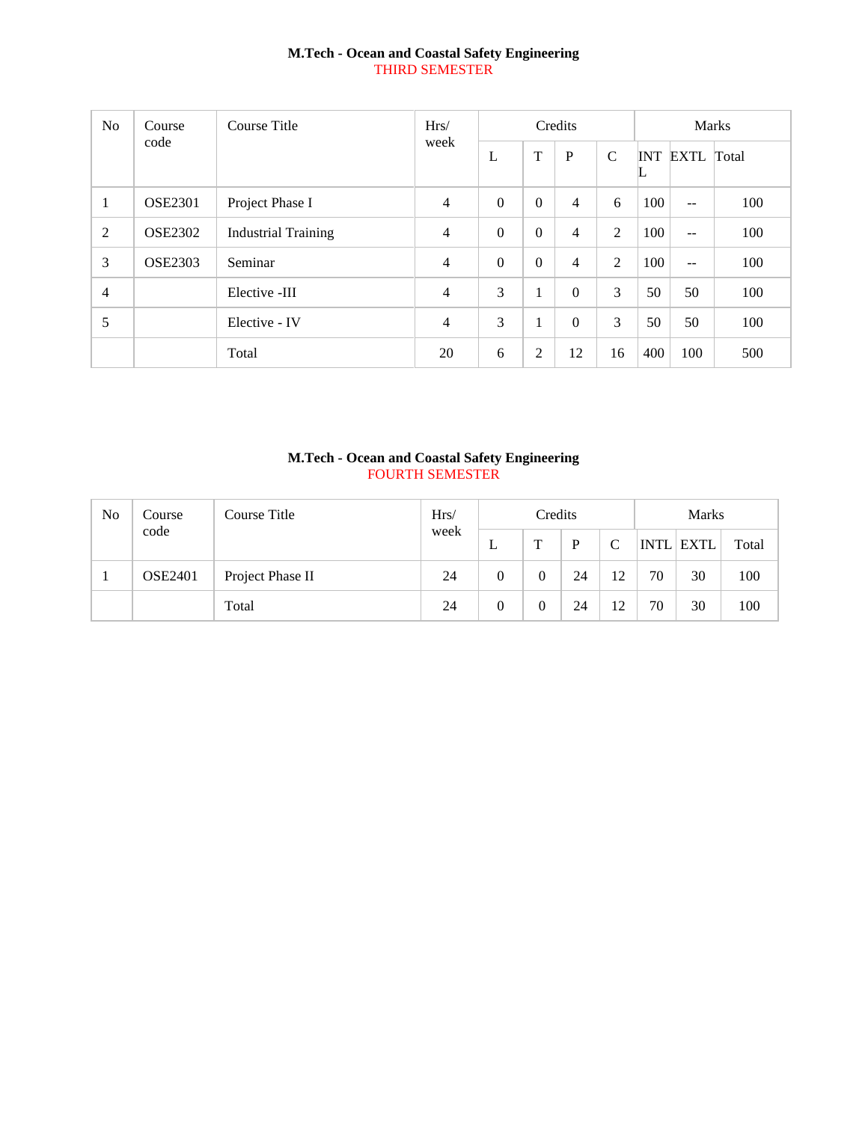## **M.Tech - Ocean and Coastal Safety Engineering** THIRD SEMESTER

| N <sub>o</sub> | Course         | Course Title               | Hrs/           |          |          | Credits        |                |     | <b>Marks</b>             |       |
|----------------|----------------|----------------------------|----------------|----------|----------|----------------|----------------|-----|--------------------------|-------|
|                | code           |                            | week           | L        | T        | $\mathbf{P}$   | $\mathcal{C}$  | ╙   | <b>INT EXTL</b>          | Total |
| 1              | <b>OSE2301</b> | Project Phase I            | $\overline{4}$ | $\Omega$ | $\Omega$ | 4              | 6              | 100 | $\overline{\phantom{a}}$ | 100   |
| $\overline{2}$ | <b>OSE2302</b> | <b>Industrial Training</b> | 4              | $\Omega$ | $\theta$ | $\overline{4}$ | $\overline{2}$ | 100 | $\overline{\phantom{a}}$ | 100   |
| 3              | <b>OSE2303</b> | Seminar                    | 4              | $\theta$ | $\Omega$ | 4              | 2              | 100 | $ -$                     | 100   |
| $\overline{4}$ |                | Elective -III              | 4              | 3        | 1        | $\Omega$       | 3              | 50  | 50                       | 100   |
| 5              |                | Elective - IV              | 4              | 3        | 1        | $\theta$       | 3              | 50  | 50                       | 100   |
|                |                | Total                      | 20             | 6        | 2        | 12             | 16             | 400 | 100                      | 500   |

## **M.Tech - Ocean and Coastal Safety Engineering** FOURTH SEMESTER

| N <sub>o</sub> | Course         | Course Title     | Hrs/ |          | Credits |    |    |             | <b>Marks</b> |       |
|----------------|----------------|------------------|------|----------|---------|----|----|-------------|--------------|-------|
|                | code           |                  | week | ⊥        | т       | P  |    | <b>INTL</b> | <b>EXTL</b>  | Total |
|                | <b>OSE2401</b> | Project Phase II | 24   | 0        |         | 24 | 12 | 70          | 30           | 100   |
|                |                | Total            | 24   | $\theta$ |         | 24 | 12 | 70          | 30           | 100   |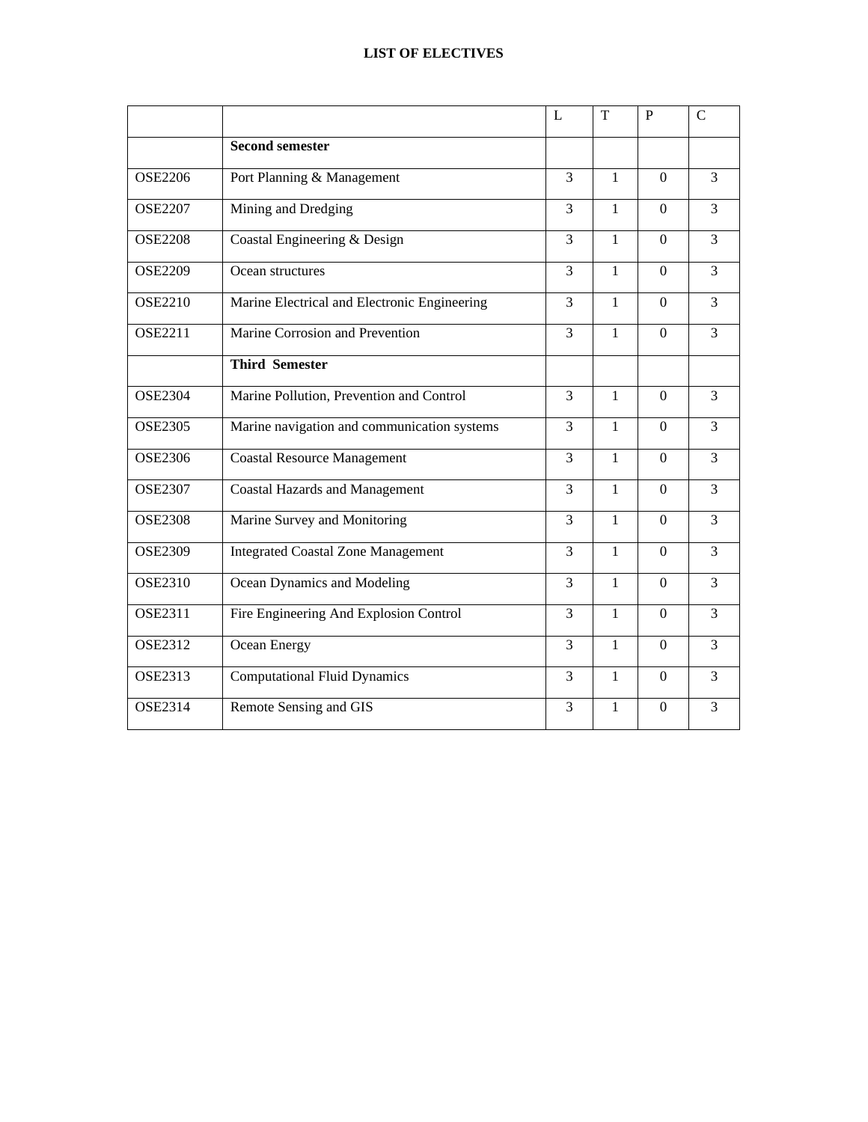|                |                                              | L              | T            | $\mathbf{P}$   | $\mathbf C$    |
|----------------|----------------------------------------------|----------------|--------------|----------------|----------------|
|                | <b>Second semester</b>                       |                |              |                |                |
| <b>OSE2206</b> | Port Planning & Management                   | 3              | $\mathbf{1}$ | $\Omega$       | 3              |
| <b>OSE2207</b> | Mining and Dredging                          | 3              | $\mathbf{1}$ | $\Omega$       | $\overline{3}$ |
| <b>OSE2208</b> | Coastal Engineering & Design                 | 3              | $\mathbf{1}$ | $\Omega$       | $\overline{3}$ |
| <b>OSE2209</b> | Ocean structures                             | $\overline{3}$ | $\mathbf{1}$ | $\Omega$       | $\overline{3}$ |
| <b>OSE2210</b> | Marine Electrical and Electronic Engineering | 3              | $\mathbf{1}$ | $\Omega$       | $\overline{3}$ |
| <b>OSE2211</b> | Marine Corrosion and Prevention              | $\overline{3}$ | $\mathbf{1}$ | $\overline{0}$ | $\overline{3}$ |
|                | <b>Third Semester</b>                        |                |              |                |                |
| <b>OSE2304</b> | Marine Pollution, Prevention and Control     | $\overline{3}$ | $\mathbf{1}$ | $\overline{0}$ | $\overline{3}$ |
| <b>OSE2305</b> | Marine navigation and communication systems  | 3              | $\mathbf{1}$ | $\Omega$       | $\overline{3}$ |
| <b>OSE2306</b> | <b>Coastal Resource Management</b>           | 3              | $\mathbf{1}$ | $\overline{0}$ | $\overline{3}$ |
| <b>OSE2307</b> | <b>Coastal Hazards and Management</b>        | 3              | $\mathbf{1}$ | $\Omega$       | 3              |
| <b>OSE2308</b> | Marine Survey and Monitoring                 | 3              | $\mathbf{1}$ | $\overline{0}$ | 3              |
| <b>OSE2309</b> | <b>Integrated Coastal Zone Management</b>    | 3              | $\mathbf{1}$ | $\Omega$       | $\overline{3}$ |
| <b>OSE2310</b> | Ocean Dynamics and Modeling                  | 3              | $\mathbf{1}$ | $\Omega$       | $\overline{3}$ |
| <b>OSE2311</b> | Fire Engineering And Explosion Control       | 3              | $\mathbf{1}$ | $\Omega$       | $\overline{3}$ |
| <b>OSE2312</b> | Ocean Energy                                 | 3              | $\mathbf{1}$ | $\Omega$       | 3              |
| <b>OSE2313</b> | <b>Computational Fluid Dynamics</b>          | 3              | $\mathbf{1}$ | $\Omega$       | $\overline{3}$ |
| <b>OSE2314</b> | Remote Sensing and GIS                       | 3              | $\mathbf{1}$ | $\theta$       | 3              |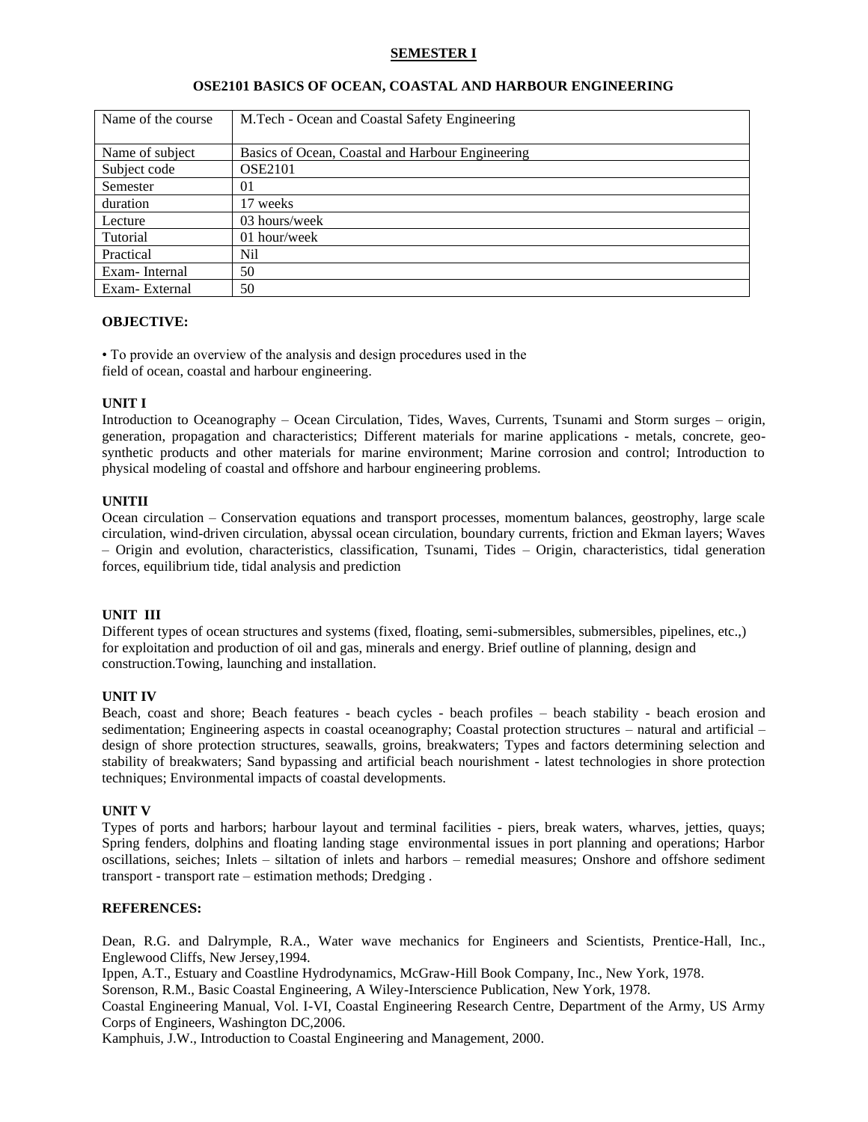### **SEMESTER I**

| Name of the course | M.Tech - Ocean and Coastal Safety Engineering    |
|--------------------|--------------------------------------------------|
|                    |                                                  |
| Name of subject    | Basics of Ocean, Coastal and Harbour Engineering |
| Subject code       | <b>OSE2101</b>                                   |
| Semester           | 01                                               |
| duration           | 17 weeks                                         |
| Lecture            | 03 hours/week                                    |
| Tutorial           | 01 hour/week                                     |
| Practical          | Nil                                              |
| Exam-Internal      | 50                                               |
| Exam-External      | 50                                               |

#### **OSE2101 BASICS OF OCEAN, COASTAL AND HARBOUR ENGINEERING**

### **OBJECTIVE:**

• To provide an overview of the analysis and design procedures used in the field of ocean, coastal and harbour engineering.

#### **UNIT I**

Introduction to Oceanography – Ocean Circulation, Tides, Waves, Currents, Tsunami and Storm surges – origin, generation, propagation and characteristics; Different materials for marine applications - metals, concrete, geosynthetic products and other materials for marine environment; Marine corrosion and control; Introduction to physical modeling of coastal and offshore and harbour engineering problems.

#### **UNITII**

Ocean circulation – Conservation equations and transport processes, momentum balances, geostrophy, large scale circulation, wind-driven circulation, abyssal ocean circulation, boundary currents, friction and Ekman layers; Waves – Origin and evolution, characteristics, classification, Tsunami, Tides – Origin, characteristics, tidal generation forces, equilibrium tide, tidal analysis and prediction

### **UNIT III**

Different types of ocean structures and systems (fixed, floating, semi-submersibles, submersibles, pipelines, etc.,) for exploitation and production of oil and gas, minerals and energy. Brief outline of planning, design and construction.Towing, launching and installation.

#### **UNIT IV**

Beach, coast and shore; Beach features - beach cycles - beach profiles – beach stability - beach erosion and sedimentation; Engineering aspects in coastal oceanography; Coastal protection structures – natural and artificial – design of shore protection structures, seawalls, groins, breakwaters; Types and factors determining selection and stability of breakwaters; Sand bypassing and artificial beach nourishment - latest technologies in shore protection techniques; Environmental impacts of coastal developments.

#### **UNIT V**

Types of ports and harbors; harbour layout and terminal facilities - piers, break waters, wharves, jetties, quays; Spring fenders, dolphins and floating landing stage environmental issues in port planning and operations; Harbor oscillations, seiches; Inlets – siltation of inlets and harbors – remedial measures; Onshore and offshore sediment transport - transport rate – estimation methods; Dredging .

#### **REFERENCES:**

Dean, R.G. and Dalrymple, R.A., Water wave mechanics for Engineers and Scientists, Prentice-Hall, Inc., Englewood Cliffs, New Jersey,1994.

Ippen, A.T., Estuary and Coastline Hydrodynamics, McGraw-Hill Book Company, Inc., New York, 1978.

Sorenson, R.M., Basic Coastal Engineering, A Wiley-Interscience Publication, New York, 1978.

Coastal Engineering Manual, Vol. I-VI, Coastal Engineering Research Centre, Department of the Army, US Army Corps of Engineers, Washington DC,2006.

Kamphuis, J.W., Introduction to Coastal Engineering and Management, 2000.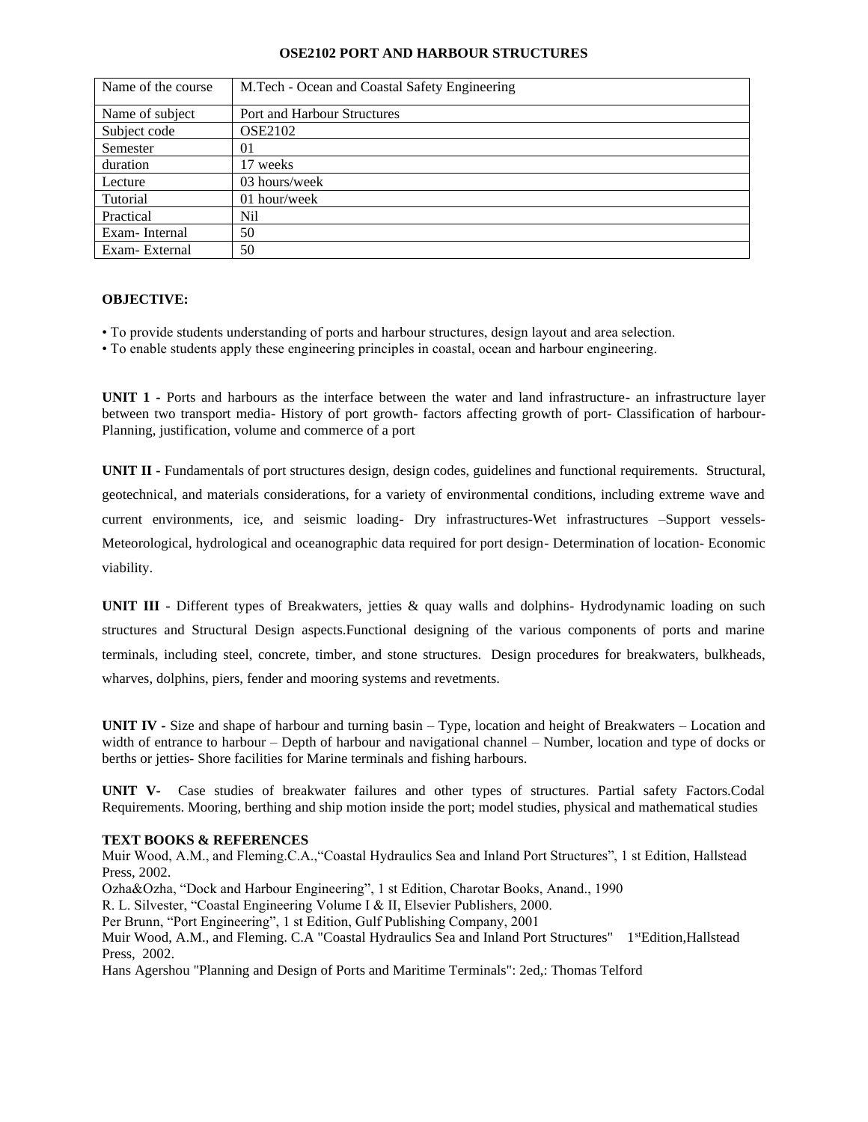### **OSE2102 PORT AND HARBOUR STRUCTURES**

| Name of the course | M.Tech - Ocean and Coastal Safety Engineering |
|--------------------|-----------------------------------------------|
| Name of subject    | Port and Harbour Structures                   |
| Subject code       | <b>OSE2102</b>                                |
| Semester           | 01                                            |
| duration           | 17 weeks                                      |
| Lecture            | 03 hours/week                                 |
| Tutorial           | 01 hour/week                                  |
| Practical          | Nil                                           |
| Exam-Internal      | 50                                            |
| Exam-External      | 50                                            |

### **OBJECTIVE:**

- To provide students understanding of ports and harbour structures, design layout and area selection.
- To enable students apply these engineering principles in coastal, ocean and harbour engineering.

**UNIT 1 -** Ports and harbours as the interface between the water and land infrastructure- an infrastructure layer between two transport media- History of port growth- factors affecting growth of port- Classification of harbour-Planning, justification, volume and commerce of a port

**UNIT II -** Fundamentals of port structures design, design codes, guidelines and functional requirements. Structural, geotechnical, and materials considerations, for a variety of environmental conditions, including extreme wave and current environments, ice, and seismic loading- Dry infrastructures-Wet infrastructures –Support vessels-Meteorological, hydrological and oceanographic data required for port design- Determination of location- Economic viability.

**UNIT III -** Different types of Breakwaters, jetties & quay walls and dolphins- Hydrodynamic loading on such structures and Structural Design aspects.Functional designing of the various components of ports and marine terminals, including steel, concrete, timber, and stone structures. Design procedures for breakwaters, bulkheads, wharves, dolphins, piers, fender and mooring systems and revetments.

**UNIT IV -** Size and shape of harbour and turning basin – Type, location and height of Breakwaters – Location and width of entrance to harbour – Depth of harbour and navigational channel – Number, location and type of docks or berths or jetties- Shore facilities for Marine terminals and fishing harbours.

**UNIT V-** Case studies of breakwater failures and other types of structures. Partial safety Factors.Codal Requirements. Mooring, berthing and ship motion inside the port; model studies, physical and mathematical studies

#### **TEXT BOOKS & REFERENCES**

Muir Wood, A.M., and Fleming.C.A.,"Coastal Hydraulics Sea and Inland Port Structures", 1 st Edition, Hallstead Press, 2002.

Ozha&Ozha, "Dock and Harbour Engineering", 1 st Edition, Charotar Books, Anand., 1990

R. L. Silvester, "Coastal Engineering Volume I & II, Elsevier Publishers, 2000.

Per Brunn, "Port Engineering", 1 st Edition, Gulf Publishing Company, 2001

Muir Wood, A.M., and Fleming. C.A "Coastal Hydraulics Sea and Inland Port Structures" 1<sup>st</sup>Edition,Hallstead Press, 2002.

Hans Agershou "Planning and Design of Ports and Maritime Terminals": 2ed,: Thomas Telford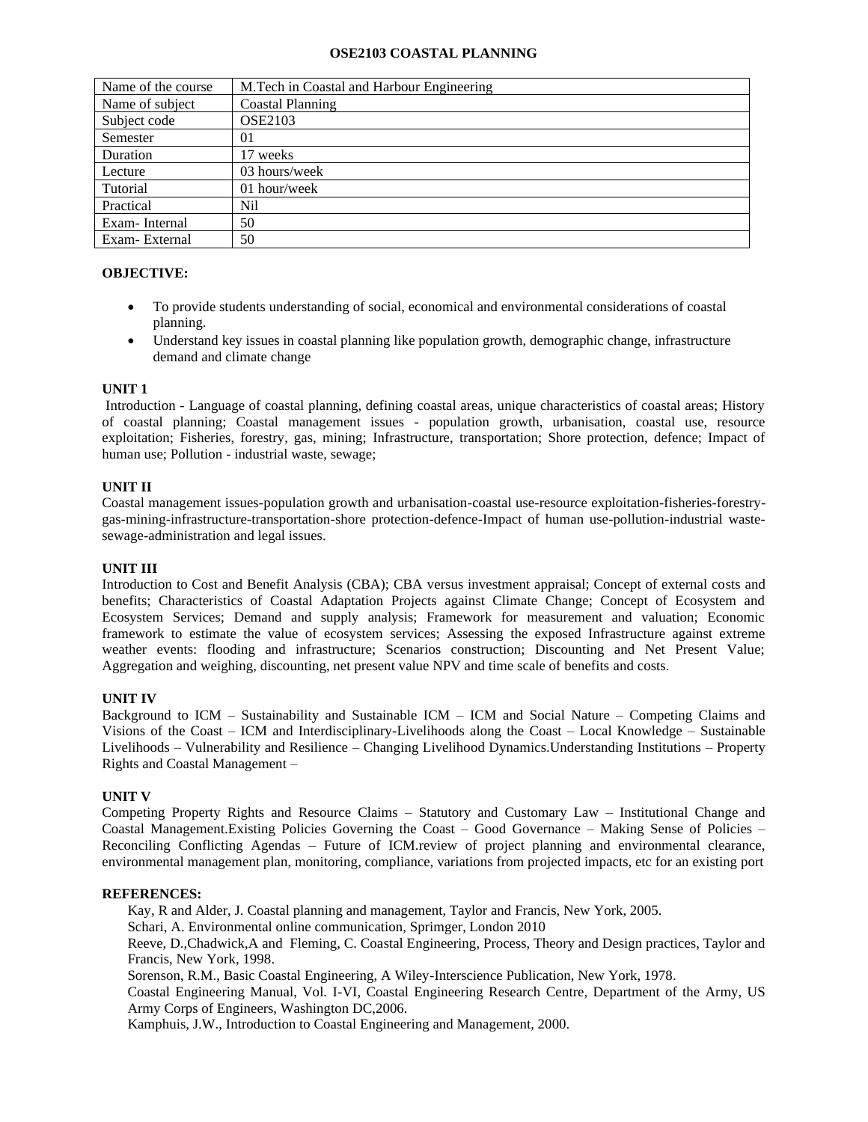### **OSE2103 COASTAL PLANNING**

| Name of the course | M.Tech in Coastal and Harbour Engineering |
|--------------------|-------------------------------------------|
| Name of subject    | Coastal Planning                          |
| Subject code       | <b>OSE2103</b>                            |
| Semester           | 01                                        |
| Duration           | 17 weeks                                  |
| Lecture            | 03 hours/week                             |
| Tutorial           | 01 hour/week                              |
| Practical          | Nil                                       |
| Exam-Internal      | 50                                        |
| Exam-External      | 50                                        |

# **OBJECTIVE:**

- To provide students understanding of social, economical and environmental considerations of coastal planning.
- Understand key issues in coastal planning like population growth, demographic change, infrastructure demand and climate change

## **UNIT 1**

Introduction - Language of coastal planning, defining coastal areas, unique characteristics of coastal areas; History of coastal planning; Coastal management issues - population growth, urbanisation, coastal use, resource exploitation; Fisheries, forestry, gas, mining; Infrastructure, transportation; Shore protection, defence; Impact of human use; Pollution - industrial waste, sewage;

### **UNIT II**

Coastal management issues-population growth and urbanisation-coastal use-resource exploitation-fisheries-forestrygas-mining-infrastructure-transportation-shore protection-defence-Impact of human use-pollution-industrial wastesewage-administration and legal issues.

### **UNIT III**

Introduction to Cost and Benefit Analysis (CBA); CBA versus investment appraisal; Concept of external costs and benefits; Characteristics of Coastal Adaptation Projects against Climate Change; Concept of Ecosystem and Ecosystem Services; Demand and supply analysis; Framework for measurement and valuation; Economic framework to estimate the value of ecosystem services; Assessing the exposed Infrastructure against extreme weather events: flooding and infrastructure; Scenarios construction; Discounting and Net Present Value; Aggregation and weighing, discounting, net present value NPV and time scale of benefits and costs.

### **UNIT IV**

Background to ICM – Sustainability and Sustainable ICM – ICM and Social Nature – Competing Claims and Visions of the Coast – ICM and Interdisciplinary-Livelihoods along the Coast – Local Knowledge – Sustainable Livelihoods – Vulnerability and Resilience – Changing Livelihood Dynamics.Understanding Institutions – Property Rights and Coastal Management –

### **UNIT V**

Competing Property Rights and Resource Claims – Statutory and Customary Law – Institutional Change and Coastal Management.Existing Policies Governing the Coast – Good Governance – Making Sense of Policies – Reconciling Conflicting Agendas – Future of ICM.review of project planning and environmental clearance, environmental management plan, monitoring, compliance, variations from projected impacts, etc for an existing port

### **REFERENCES:**

Kay, R and Alder, J. Coastal planning and management, Taylor and Francis, New York, 2005.

Schari, A. Environmental online communication, Sprimger, London 2010

Reeve, D.,Chadwick,A and Fleming, C. Coastal Engineering, Process, Theory and Design practices, Taylor and Francis, New York, 1998.

Sorenson, R.M., Basic Coastal Engineering, A Wiley-Interscience Publication, New York, 1978.

Coastal Engineering Manual, Vol. I-VI, Coastal Engineering Research Centre, Department of the Army, US Army Corps of Engineers, Washington DC,2006.

Kamphuis, J.W., Introduction to Coastal Engineering and Management, 2000.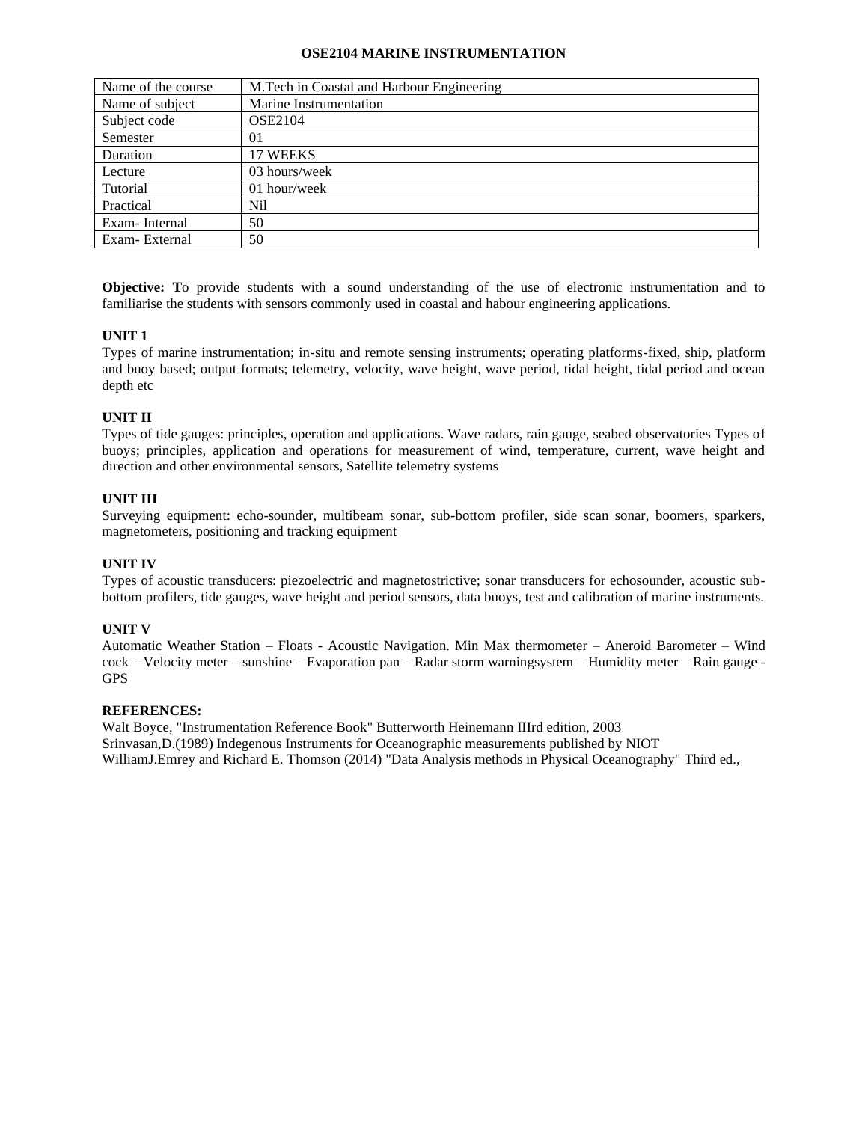### **OSE2104 MARINE INSTRUMENTATION**

| Name of the course | M. Tech in Coastal and Harbour Engineering |
|--------------------|--------------------------------------------|
| Name of subject    | Marine Instrumentation                     |
| Subject code       | <b>OSE2104</b>                             |
| Semester           | 01                                         |
| Duration           | 17 WEEKS                                   |
| Lecture            | 03 hours/week                              |
| Tutorial           | 01 hour/week                               |
| Practical          | Nil                                        |
| Exam-Internal      | 50                                         |
| Exam-External      | 50                                         |

**Objective: T**o provide students with a sound understanding of the use of electronic instrumentation and to familiarise the students with sensors commonly used in coastal and habour engineering applications.

### **UNIT 1**

Types of marine instrumentation; in-situ and remote sensing instruments; operating platforms-fixed, ship, platform and buoy based; output formats; telemetry, velocity, wave height, wave period, tidal height, tidal period and ocean depth etc

## **UNIT II**

Types of tide gauges: principles, operation and applications. Wave radars, rain gauge, seabed observatories Types of buoys; principles, application and operations for measurement of wind, temperature, current, wave height and direction and other environmental sensors, Satellite telemetry systems

### **UNIT III**

Surveying equipment: echo-sounder, multibeam sonar, sub-bottom profiler, side scan sonar, boomers, sparkers, magnetometers, positioning and tracking equipment

### **UNIT IV**

Types of acoustic transducers: piezoelectric and magnetostrictive; sonar transducers for echosounder, acoustic subbottom profilers, tide gauges, wave height and period sensors, data buoys, test and calibration of marine instruments.

### **UNIT V**

Automatic Weather Station – Floats - Acoustic Navigation. Min Max thermometer – Aneroid Barometer – Wind cock – Velocity meter – sunshine – Evaporation pan – Radar storm warningsystem – Humidity meter – Rain gauge - GPS

### **REFERENCES:**

Walt Boyce, "Instrumentation Reference Book" Butterworth Heinemann IIIrd edition, 2003 Srinvasan,D.(1989) Indegenous Instruments for Oceanographic measurements published by NIOT WilliamJ.Emrey and Richard E. Thomson (2014) "Data Analysis methods in Physical Oceanography" Third ed.,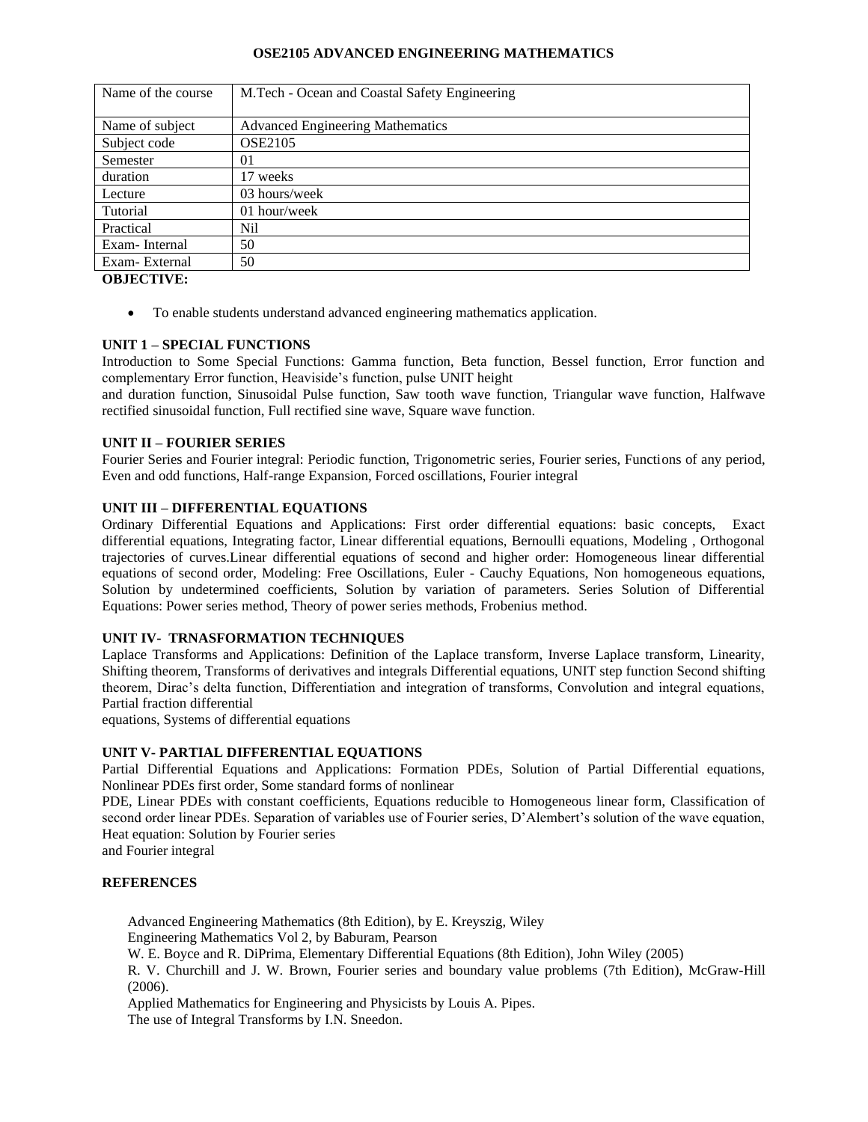### **OSE2105 ADVANCED ENGINEERING MATHEMATICS**

| Name of the course | M.Tech - Ocean and Coastal Safety Engineering |
|--------------------|-----------------------------------------------|
|                    |                                               |
| Name of subject    | <b>Advanced Engineering Mathematics</b>       |
| Subject code       | <b>OSE2105</b>                                |
| Semester           | 01                                            |
| duration           | 17 weeks                                      |
| Lecture            | 03 hours/week                                 |
| Tutorial           | 01 hour/week                                  |
| Practical          | Nil                                           |
| Exam-Internal      | 50                                            |
| Exam-External      | 50                                            |

**OBJECTIVE:**

• To enable students understand advanced engineering mathematics application.

## **UNIT 1 – SPECIAL FUNCTIONS**

Introduction to Some Special Functions: Gamma function, Beta function, Bessel function, Error function and complementary Error function, Heaviside's function, pulse UNIT height

and duration function, Sinusoidal Pulse function, Saw tooth wave function, Triangular wave function, Halfwave rectified sinusoidal function, Full rectified sine wave, Square wave function.

### **UNIT II – FOURIER SERIES**

Fourier Series and Fourier integral: Periodic function, Trigonometric series, Fourier series, Functions of any period, Even and odd functions, Half-range Expansion, Forced oscillations, Fourier integral

### **UNIT III – DIFFERENTIAL EQUATIONS**

Ordinary Differential Equations and Applications: First order differential equations: basic concepts, Exact differential equations, Integrating factor, Linear differential equations, Bernoulli equations, Modeling , Orthogonal trajectories of curves.Linear differential equations of second and higher order: Homogeneous linear differential equations of second order, Modeling: Free Oscillations, Euler - Cauchy Equations, Non homogeneous equations, Solution by undetermined coefficients, Solution by variation of parameters. Series Solution of Differential Equations: Power series method, Theory of power series methods, Frobenius method.

### **UNIT IV- TRNASFORMATION TECHNIQUES**

Laplace Transforms and Applications: Definition of the Laplace transform, Inverse Laplace transform, Linearity, Shifting theorem, Transforms of derivatives and integrals Differential equations, UNIT step function Second shifting theorem, Dirac's delta function, Differentiation and integration of transforms, Convolution and integral equations, Partial fraction differential

equations, Systems of differential equations

### **UNIT V- PARTIAL DIFFERENTIAL EQUATIONS**

Partial Differential Equations and Applications: Formation PDEs, Solution of Partial Differential equations, Nonlinear PDEs first order, Some standard forms of nonlinear

PDE, Linear PDEs with constant coefficients, Equations reducible to Homogeneous linear form, Classification of second order linear PDEs. Separation of variables use of Fourier series, D'Alembert's solution of the wave equation, Heat equation: Solution by Fourier series

and Fourier integral

### **REFERENCES**

Advanced Engineering Mathematics (8th Edition), by E. Kreyszig, Wiley Engineering Mathematics Vol 2, by Baburam, Pearson

W. E. Boyce and R. DiPrima, Elementary Differential Equations (8th Edition), John Wiley (2005)

R. V. Churchill and J. W. Brown, Fourier series and boundary value problems (7th Edition), McGraw-Hill (2006).

Applied Mathematics for Engineering and Physicists by Louis A. Pipes. The use of Integral Transforms by I.N. Sneedon.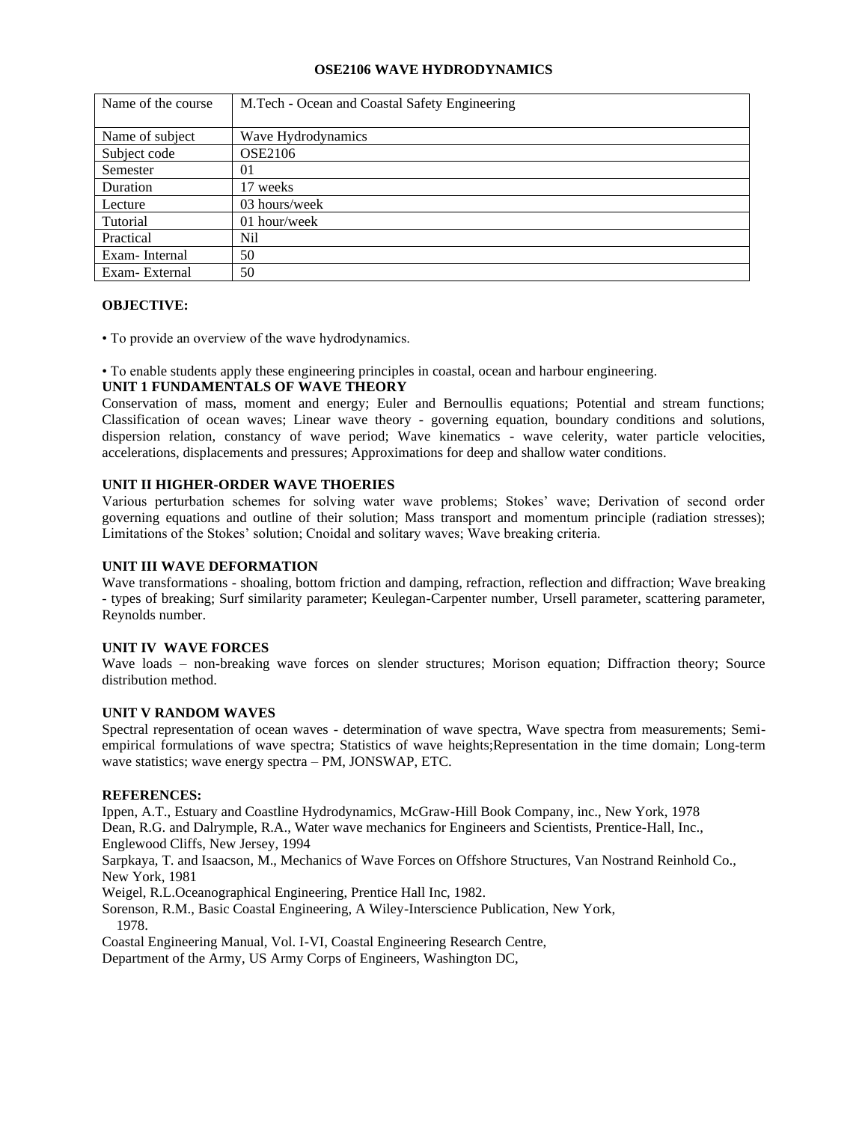## **OSE2106 WAVE HYDRODYNAMICS**

| Name of the course | M.Tech - Ocean and Coastal Safety Engineering |
|--------------------|-----------------------------------------------|
|                    |                                               |
| Name of subject    | Wave Hydrodynamics                            |
| Subject code       | <b>OSE2106</b>                                |
| Semester           | 01                                            |
| Duration           | 17 weeks                                      |
| Lecture            | 03 hours/week                                 |
| Tutorial           | 01 hour/week                                  |
| Practical          | N <sub>il</sub>                               |
| Exam-Internal      | 50                                            |
| Exam-External      | 50                                            |

### **OBJECTIVE:**

• To provide an overview of the wave hydrodynamics.

• To enable students apply these engineering principles in coastal, ocean and harbour engineering.

#### **UNIT 1 FUNDAMENTALS OF WAVE THEORY**

Conservation of mass, moment and energy; Euler and Bernoullis equations; Potential and stream functions; Classification of ocean waves; Linear wave theory - governing equation, boundary conditions and solutions, dispersion relation, constancy of wave period; Wave kinematics - wave celerity, water particle velocities, accelerations, displacements and pressures; Approximations for deep and shallow water conditions.

### **UNIT II HIGHER-ORDER WAVE THOERIES**

Various perturbation schemes for solving water wave problems; Stokes' wave; Derivation of second order governing equations and outline of their solution; Mass transport and momentum principle (radiation stresses); Limitations of the Stokes' solution; Cnoidal and solitary waves; Wave breaking criteria.

### **UNIT III WAVE DEFORMATION**

Wave transformations - shoaling, bottom friction and damping, refraction, reflection and diffraction; Wave breaking - types of breaking; Surf similarity parameter; Keulegan-Carpenter number, Ursell parameter, scattering parameter, Reynolds number.

### **UNIT IV WAVE FORCES**

Wave loads – non-breaking wave forces on slender structures; Morison equation; Diffraction theory; Source distribution method.

### **UNIT V RANDOM WAVES**

Spectral representation of ocean waves - determination of wave spectra, Wave spectra from measurements; Semiempirical formulations of wave spectra; Statistics of wave heights;Representation in the time domain; Long-term wave statistics; wave energy spectra – PM, JONSWAP, ETC.

### **REFERENCES:**

Ippen, A.T., Estuary and Coastline Hydrodynamics, McGraw-Hill Book Company, inc., New York, 1978 Dean, R.G. and Dalrymple, R.A., Water wave mechanics for Engineers and Scientists, Prentice-Hall, Inc.,

Englewood Cliffs, New Jersey, 1994

Sarpkaya, T. and Isaacson, M., Mechanics of Wave Forces on Offshore Structures, Van Nostrand Reinhold Co., New York, 1981

Weigel, R.L.Oceanographical Engineering, Prentice Hall Inc, 1982.

Sorenson, R.M., Basic Coastal Engineering, A Wiley-Interscience Publication, New York, 1978.

Coastal Engineering Manual, Vol. I-VI, Coastal Engineering Research Centre,

Department of the Army, US Army Corps of Engineers, Washington DC,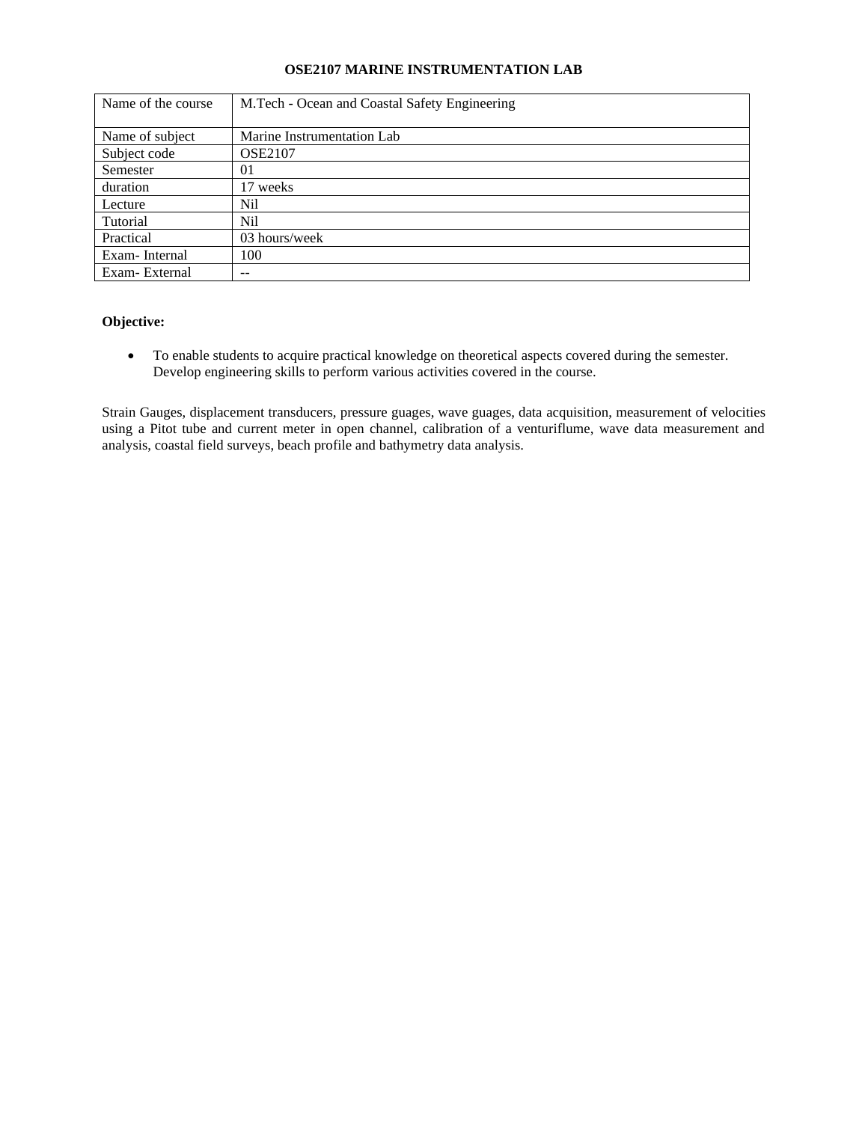# **OSE2107 MARINE INSTRUMENTATION LAB**

| Name of the course | M.Tech - Ocean and Coastal Safety Engineering |
|--------------------|-----------------------------------------------|
|                    |                                               |
| Name of subject    | Marine Instrumentation Lab                    |
| Subject code       | <b>OSE2107</b>                                |
| Semester           | 01                                            |
| duration           | 17 weeks                                      |
| Lecture            | Nil                                           |
| Tutorial           | Nil                                           |
| Practical          | 03 hours/week                                 |
| Exam-Internal      | 100                                           |
| Exam-External      | --                                            |

# **Objective:**

• To enable students to acquire practical knowledge on theoretical aspects covered during the semester. Develop engineering skills to perform various activities covered in the course.

Strain Gauges, displacement transducers, pressure guages, wave guages, data acquisition, measurement of velocities using a Pitot tube and current meter in open channel, calibration of a venturiflume, wave data measurement and analysis, coastal field surveys, beach profile and bathymetry data analysis.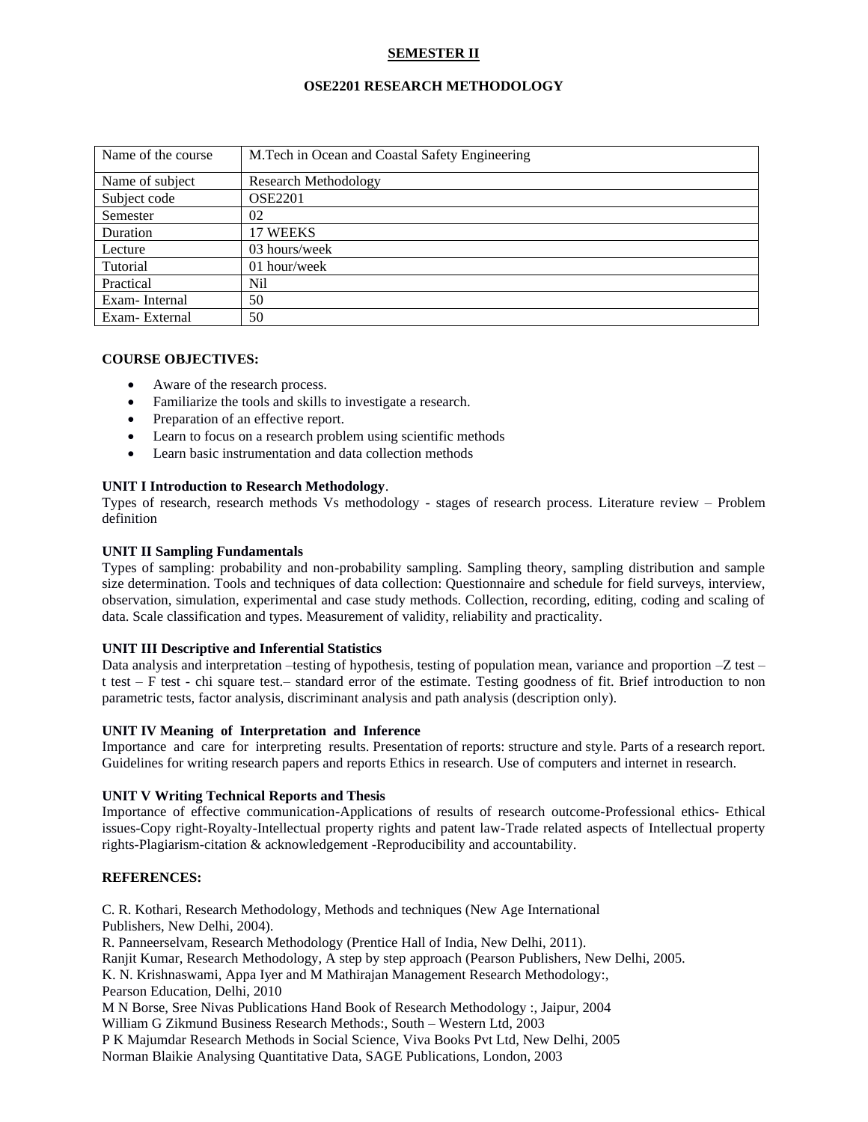# **SEMESTER II**

## **OSE2201 RESEARCH METHODOLOGY**

| Name of the course | M.Tech in Ocean and Coastal Safety Engineering |
|--------------------|------------------------------------------------|
| Name of subject    | Research Methodology                           |
| Subject code       | <b>OSE2201</b>                                 |
| Semester           | 02                                             |
| Duration           | 17 WEEKS                                       |
| Lecture            | 03 hours/week                                  |
| Tutorial           | 01 hour/week                                   |
| Practical          | Nil                                            |
| Exam-Internal      | 50                                             |
| Exam-External      | 50                                             |

## **COURSE OBJECTIVES:**

- Aware of the research process.
- Familiarize the tools and skills to investigate a research.
- Preparation of an effective report.
- Learn to focus on a research problem using scientific methods
- Learn basic instrumentation and data collection methods

### **UNIT I Introduction to Research Methodology**.

Types of research, research methods Vs methodology - stages of research process. Literature review – Problem definition

### **UNIT II Sampling Fundamentals**

Types of sampling: probability and non-probability sampling. Sampling theory, sampling distribution and sample size determination. Tools and techniques of data collection: Questionnaire and schedule for field surveys, interview, observation, simulation, experimental and case study methods. Collection, recording, editing, coding and scaling of data. Scale classification and types. Measurement of validity, reliability and practicality.

### **UNIT III Descriptive and Inferential Statistics**

Data analysis and interpretation –testing of hypothesis, testing of population mean, variance and proportion  $-Z$  test – t test – F test - chi square test.– standard error of the estimate. Testing goodness of fit. Brief introduction to non parametric tests, factor analysis, discriminant analysis and path analysis (description only).

### **UNIT IV Meaning of Interpretation and Inference**

Importance and care for interpreting results. Presentation of reports: structure and style. Parts of a research report. Guidelines for writing research papers and reports Ethics in research. Use of computers and internet in research.

## **UNIT V Writing Technical Reports and Thesis**

Importance of effective communication-Applications of results of research outcome-Professional ethics- Ethical issues-Copy right-Royalty-Intellectual property rights and patent law-Trade related aspects of Intellectual property rights-Plagiarism-citation & acknowledgement -Reproducibility and accountability.

## **REFERENCES:**

C. R. Kothari, Research Methodology, Methods and techniques (New Age International Publishers, New Delhi, 2004). R. Panneerselvam, Research Methodology (Prentice Hall of India, New Delhi, 2011). Ranjit Kumar, Research Methodology, A step by step approach (Pearson Publishers, New Delhi, 2005. K. N. Krishnaswami, Appa Iyer and M Mathirajan Management Research Methodology:, Pearson Education, Delhi, 2010 M N Borse, Sree Nivas Publications Hand Book of Research Methodology :, Jaipur, 2004 William G Zikmund Business Research Methods:, South – Western Ltd, 2003 P K Majumdar Research Methods in Social Science, Viva Books Pvt Ltd, New Delhi, 2005

Norman Blaikie Analysing Quantitative Data, SAGE Publications, London, 2003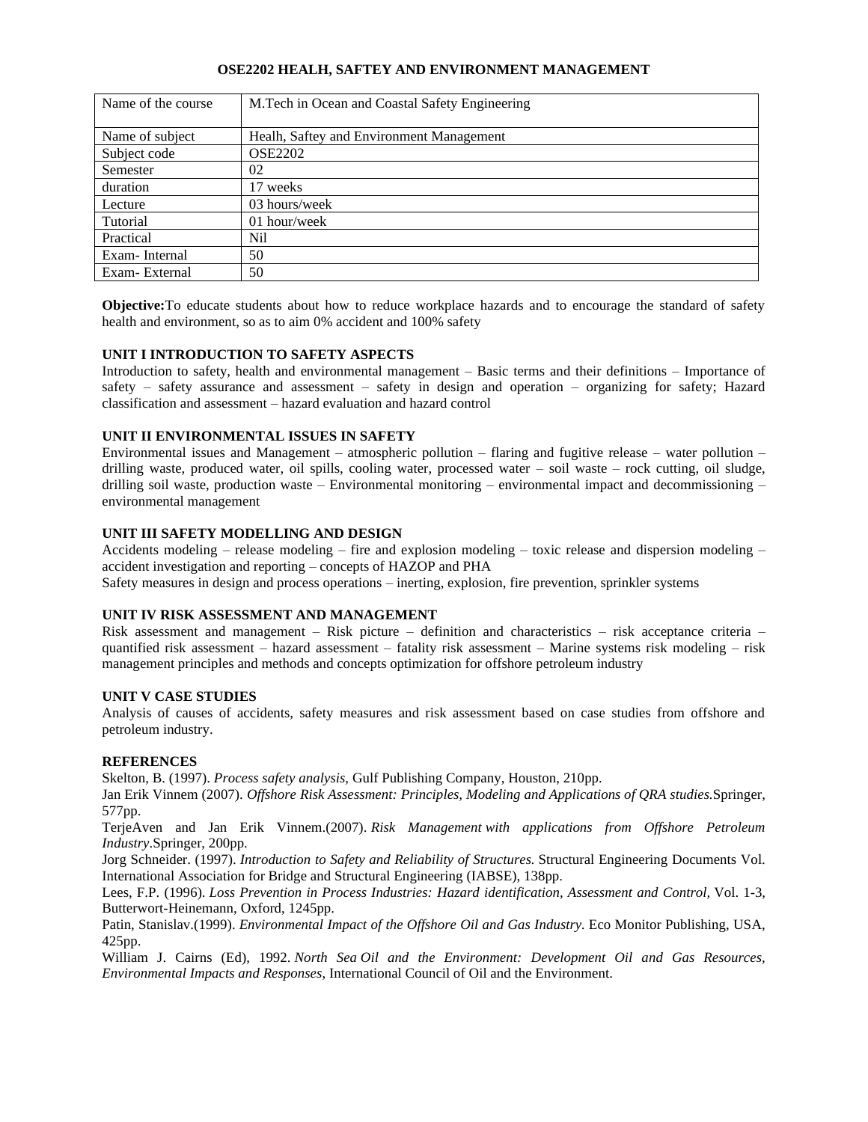## **OSE2202 HEALH, SAFTEY AND ENVIRONMENT MANAGEMENT**

| Name of the course | M.Tech in Ocean and Coastal Safety Engineering |
|--------------------|------------------------------------------------|
| Name of subject    | Healh, Saftey and Environment Management       |
| Subject code       | <b>OSE2202</b>                                 |
| Semester           | 02                                             |
| duration           | 17 weeks                                       |
| Lecture            | 03 hours/week                                  |
| Tutorial           | 01 hour/week                                   |
| Practical          | Nil                                            |
| Exam-Internal      | 50                                             |
| Exam-External      | 50                                             |

**Objective:**To educate students about how to reduce workplace hazards and to encourage the standard of safety health and environment, so as to aim 0% accident and 100% safety

### **UNIT I INTRODUCTION TO SAFETY ASPECTS**

Introduction to safety, health and environmental management – Basic terms and their definitions – Importance of safety – safety assurance and assessment – safety in design and operation – organizing for safety; Hazard classification and assessment – hazard evaluation and hazard control

## **UNIT II ENVIRONMENTAL ISSUES IN SAFETY**

Environmental issues and Management – atmospheric pollution – flaring and fugitive release – water pollution – drilling waste, produced water, oil spills, cooling water, processed water – soil waste – rock cutting, oil sludge, drilling soil waste, production waste – Environmental monitoring – environmental impact and decommissioning – environmental management

### **UNIT III SAFETY MODELLING AND DESIGN**

Accidents modeling – release modeling – fire and explosion modeling – toxic release and dispersion modeling – accident investigation and reporting – concepts of HAZOP and PHA

Safety measures in design and process operations – inerting, explosion, fire prevention, sprinkler systems

### **UNIT IV RISK ASSESSMENT AND MANAGEMENT**

Risk assessment and management – Risk picture – definition and characteristics – risk acceptance criteria – quantified risk assessment – hazard assessment – fatality risk assessment – Marine systems risk modeling – risk management principles and methods and concepts optimization for offshore petroleum industry

### **UNIT V CASE STUDIES**

Analysis of causes of accidents, safety measures and risk assessment based on case studies from offshore and petroleum industry.

### **REFERENCES**

Skelton, B. (1997). *Process safety analysis,* Gulf Publishing Company, Houston, 210pp.

Jan Erik Vinnem (2007). *Offshore Risk Assessment: Principles, Modeling and Applications of QRA studies.*Springer, 577pp.

TerjeAven and Jan Erik Vinnem.(2007). *Risk Management with applications from Offshore Petroleum Industry*.Springer, 200pp.

Jorg Schneider. (1997). *Introduction to Safety and Reliability of Structures.* Structural Engineering Documents Vol. International Association for Bridge and Structural Engineering (IABSE), 138pp.

Lees, F.P. (1996). *Loss Prevention in Process Industries: Hazard identification, Assessment and Control,* Vol. 1-3, Butterwort-Heinemann, Oxford, 1245pp.

Patin, Stanislav.(1999). *Environmental Impact of the Offshore Oil and Gas Industry.* Eco Monitor Publishing, USA, 425pp.

William J. Cairns (Ed), 1992. *North Sea Oil and the Environment: Development Oil and Gas Resources, Environmental Impacts and Responses*, International Council of Oil and the Environment.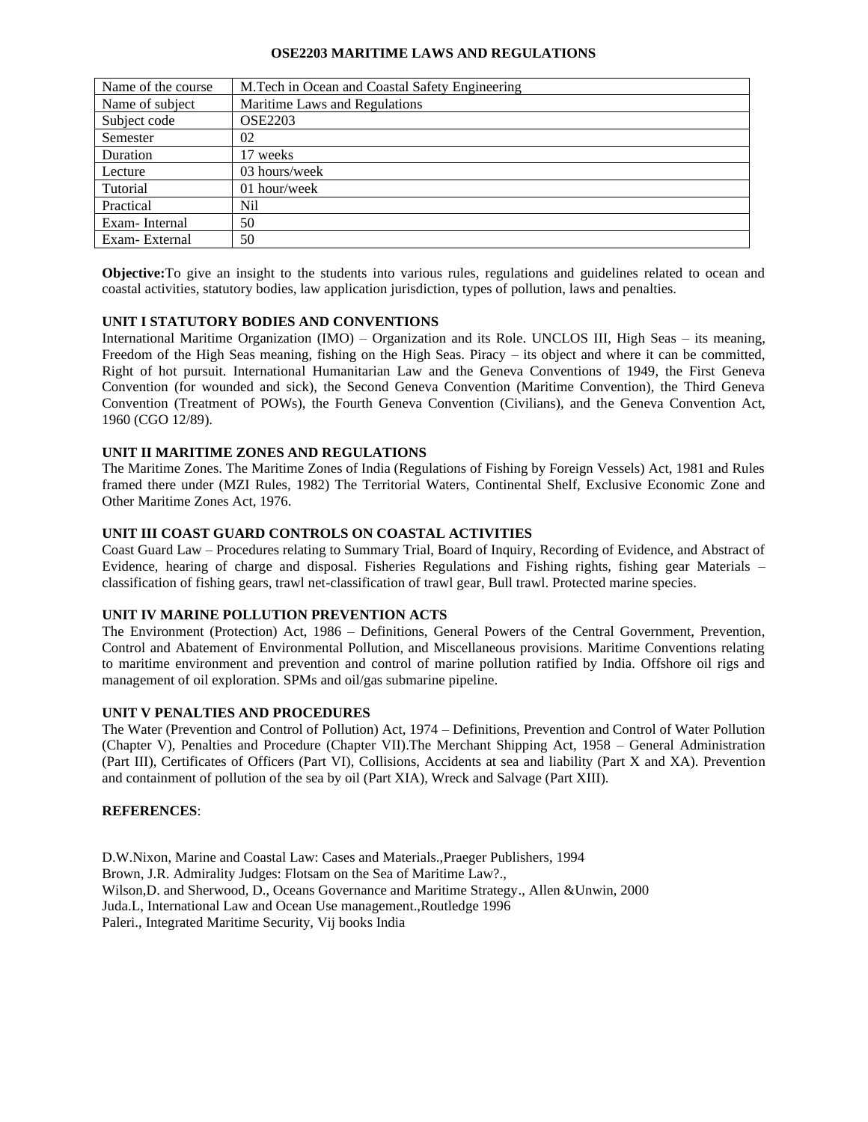### **OSE2203 MARITIME LAWS AND REGULATIONS**

| Name of the course | M.Tech in Ocean and Coastal Safety Engineering |
|--------------------|------------------------------------------------|
| Name of subject    | Maritime Laws and Regulations                  |
| Subject code       | <b>OSE2203</b>                                 |
| Semester           | 02                                             |
| Duration           | 17 weeks                                       |
| Lecture            | 03 hours/week                                  |
| Tutorial           | 01 hour/week                                   |
| Practical          | Nil                                            |
| Exam-Internal      | 50                                             |
| Exam-External      | 50                                             |

**Objective:**To give an insight to the students into various rules, regulations and guidelines related to ocean and coastal activities, statutory bodies, law application jurisdiction, types of pollution, laws and penalties.

## **UNIT I STATUTORY BODIES AND CONVENTIONS**

International Maritime Organization (IMO) – Organization and its Role. UNCLOS III, High Seas – its meaning, Freedom of the High Seas meaning, fishing on the High Seas. Piracy – its object and where it can be committed, Right of hot pursuit. International Humanitarian Law and the Geneva Conventions of 1949, the First Geneva Convention (for wounded and sick), the Second Geneva Convention (Maritime Convention), the Third Geneva Convention (Treatment of POWs), the Fourth Geneva Convention (Civilians), and the Geneva Convention Act, 1960 (CGO 12/89).

### **UNIT II MARITIME ZONES AND REGULATIONS**

The Maritime Zones. The Maritime Zones of India (Regulations of Fishing by Foreign Vessels) Act, 1981 and Rules framed there under (MZI Rules, 1982) The Territorial Waters, Continental Shelf, Exclusive Economic Zone and Other Maritime Zones Act, 1976.

### **UNIT III COAST GUARD CONTROLS ON COASTAL ACTIVITIES**

Coast Guard Law – Procedures relating to Summary Trial, Board of Inquiry, Recording of Evidence, and Abstract of Evidence, hearing of charge and disposal. Fisheries Regulations and Fishing rights, fishing gear Materials – classification of fishing gears, trawl net-classification of trawl gear, Bull trawl. Protected marine species.

### **UNIT IV MARINE POLLUTION PREVENTION ACTS**

The Environment (Protection) Act, 1986 – Definitions, General Powers of the Central Government, Prevention, Control and Abatement of Environmental Pollution, and Miscellaneous provisions. Maritime Conventions relating to maritime environment and prevention and control of marine pollution ratified by India. Offshore oil rigs and management of oil exploration. SPMs and oil/gas submarine pipeline.

### **UNIT V PENALTIES AND PROCEDURES**

The Water (Prevention and Control of Pollution) Act, 1974 – Definitions, Prevention and Control of Water Pollution (Chapter V), Penalties and Procedure (Chapter VII).The Merchant Shipping Act, 1958 – General Administration (Part III), Certificates of Officers (Part VI), Collisions, Accidents at sea and liability (Part X and XA). Prevention and containment of pollution of the sea by oil (Part XIA), Wreck and Salvage (Part XIII).

## **REFERENCES**:

D.W.Nixon, Marine and Coastal Law: Cases and Materials.,Praeger Publishers, 1994 Brown, J.R. Admirality Judges: Flotsam on the Sea of Maritime Law?., Wilson,D. and Sherwood, D., Oceans Governance and Maritime Strategy., Allen &Unwin, 2000 Juda.L, International Law and Ocean Use management.,Routledge 1996 Paleri., Integrated Maritime Security, Vij books India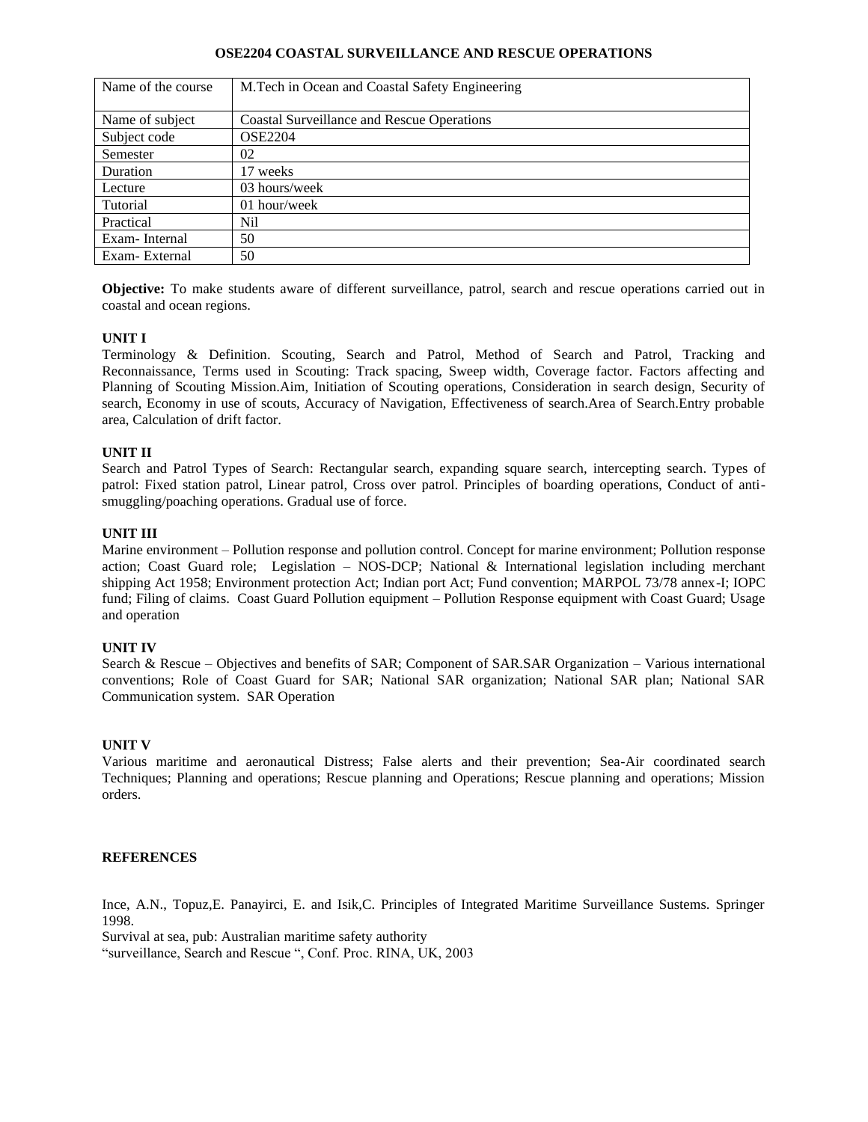### **OSE2204 COASTAL SURVEILLANCE AND RESCUE OPERATIONS**

| Name of the course | M.Tech in Ocean and Coastal Safety Engineering    |
|--------------------|---------------------------------------------------|
|                    |                                                   |
| Name of subject    | <b>Coastal Surveillance and Rescue Operations</b> |
| Subject code       | <b>OSE2204</b>                                    |
| Semester           | 02                                                |
| Duration           | 17 weeks                                          |
| Lecture            | 03 hours/week                                     |
| Tutorial           | $01$ hour/week                                    |
| Practical          | Nil                                               |
| Exam-Internal      | 50                                                |
| Exam-External      | 50                                                |

**Objective:** To make students aware of different surveillance, patrol, search and rescue operations carried out in coastal and ocean regions.

## **UNIT I**

Terminology & Definition. Scouting, Search and Patrol, Method of Search and Patrol, Tracking and Reconnaissance, Terms used in Scouting: Track spacing, Sweep width, Coverage factor. Factors affecting and Planning of Scouting Mission.Aim, Initiation of Scouting operations, Consideration in search design, Security of search, Economy in use of scouts, Accuracy of Navigation, Effectiveness of search.Area of Search.Entry probable area, Calculation of drift factor.

## **UNIT II**

Search and Patrol Types of Search: Rectangular search, expanding square search, intercepting search. Types of patrol: Fixed station patrol, Linear patrol, Cross over patrol. Principles of boarding operations, Conduct of antismuggling/poaching operations. Gradual use of force.

## **UNIT III**

Marine environment – Pollution response and pollution control. Concept for marine environment; Pollution response action; Coast Guard role; Legislation – NOS-DCP; National & International legislation including merchant shipping Act 1958; Environment protection Act; Indian port Act; Fund convention; MARPOL 73/78 annex-I; IOPC fund; Filing of claims. Coast Guard Pollution equipment – Pollution Response equipment with Coast Guard; Usage and operation

## **UNIT IV**

Search & Rescue – Objectives and benefits of SAR; Component of SAR.SAR Organization – Various international conventions; Role of Coast Guard for SAR; National SAR organization; National SAR plan; National SAR Communication system. SAR Operation

## **UNIT V**

Various maritime and aeronautical Distress; False alerts and their prevention; Sea-Air coordinated search Techniques; Planning and operations; Rescue planning and Operations; Rescue planning and operations; Mission orders.

## **REFERENCES**

Ince, A.N., Topuz,E. Panayirci, E. and Isik,C. Principles of Integrated Maritime Surveillance Sustems. Springer 1998.

Survival at sea, pub: Australian maritime safety authority "surveillance, Search and Rescue ", Conf. Proc. RINA, UK, 2003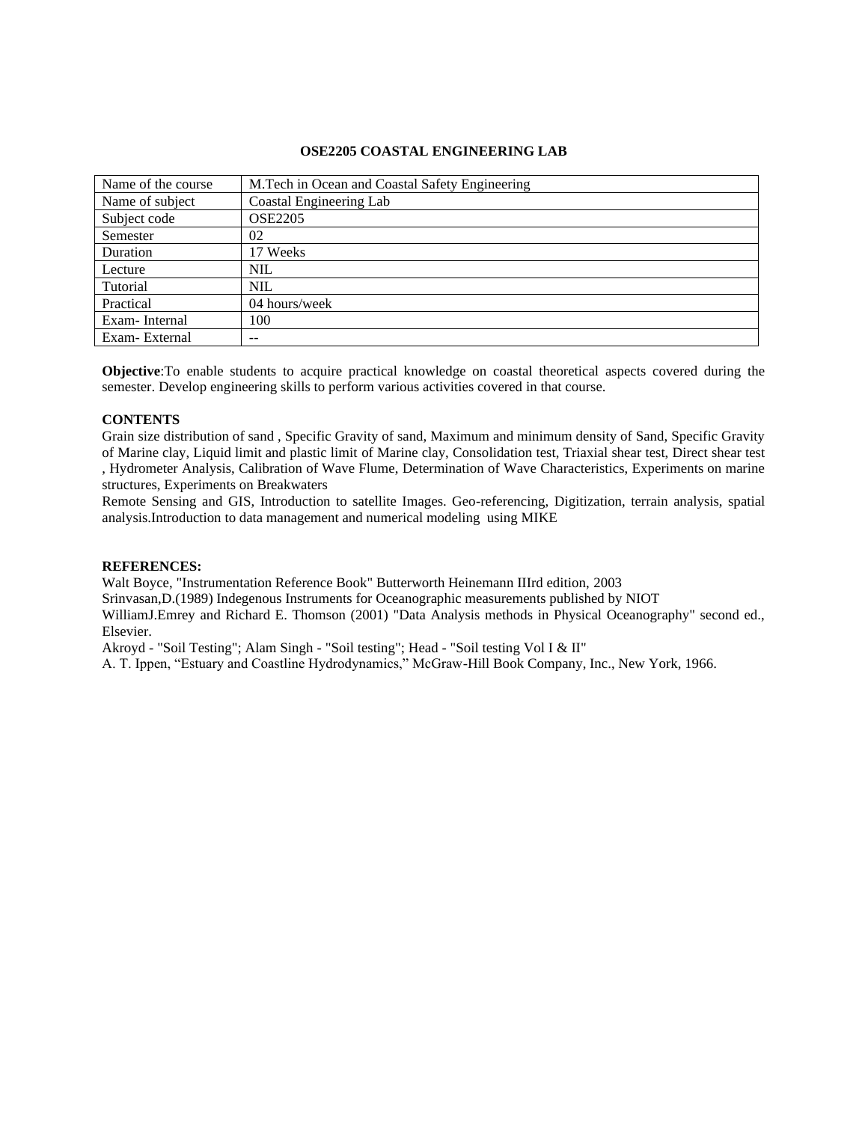### **OSE2205 COASTAL ENGINEERING LAB**

| Name of the course | M. Tech in Ocean and Coastal Safety Engineering |
|--------------------|-------------------------------------------------|
| Name of subject    | Coastal Engineering Lab                         |
| Subject code       | <b>OSE2205</b>                                  |
| Semester           | 02                                              |
| Duration           | 17 Weeks                                        |
| Lecture            | <b>NIL</b>                                      |
| Tutorial           | <b>NIL</b>                                      |
| Practical          | 04 hours/week                                   |
| Exam-Internal      | 100                                             |
| Exam-External      | $- -$                                           |

**Objective**:To enable students to acquire practical knowledge on coastal theoretical aspects covered during the semester. Develop engineering skills to perform various activities covered in that course.

### **CONTENTS**

Grain size distribution of sand , Specific Gravity of sand, Maximum and minimum density of Sand, Specific Gravity of Marine clay, Liquid limit and plastic limit of Marine clay, Consolidation test, Triaxial shear test, Direct shear test , Hydrometer Analysis, Calibration of Wave Flume, Determination of Wave Characteristics, Experiments on marine structures, Experiments on Breakwaters

Remote Sensing and GIS, Introduction to satellite Images. Geo-referencing, Digitization, terrain analysis, spatial analysis.Introduction to data management and numerical modeling using MIKE

#### **REFERENCES:**

Walt Boyce, "Instrumentation Reference Book" Butterworth Heinemann IIIrd edition, 2003

Srinvasan,D.(1989) Indegenous Instruments for Oceanographic measurements published by NIOT

WilliamJ.Emrey and Richard E. Thomson (2001) "Data Analysis methods in Physical Oceanography" second ed., Elsevier.

Akroyd - "Soil Testing"; Alam Singh - "Soil testing"; Head - "Soil testing Vol I & II"

A. T. Ippen, "Estuary and Coastline Hydrodynamics," McGraw-Hill Book Company, Inc., New York, 1966.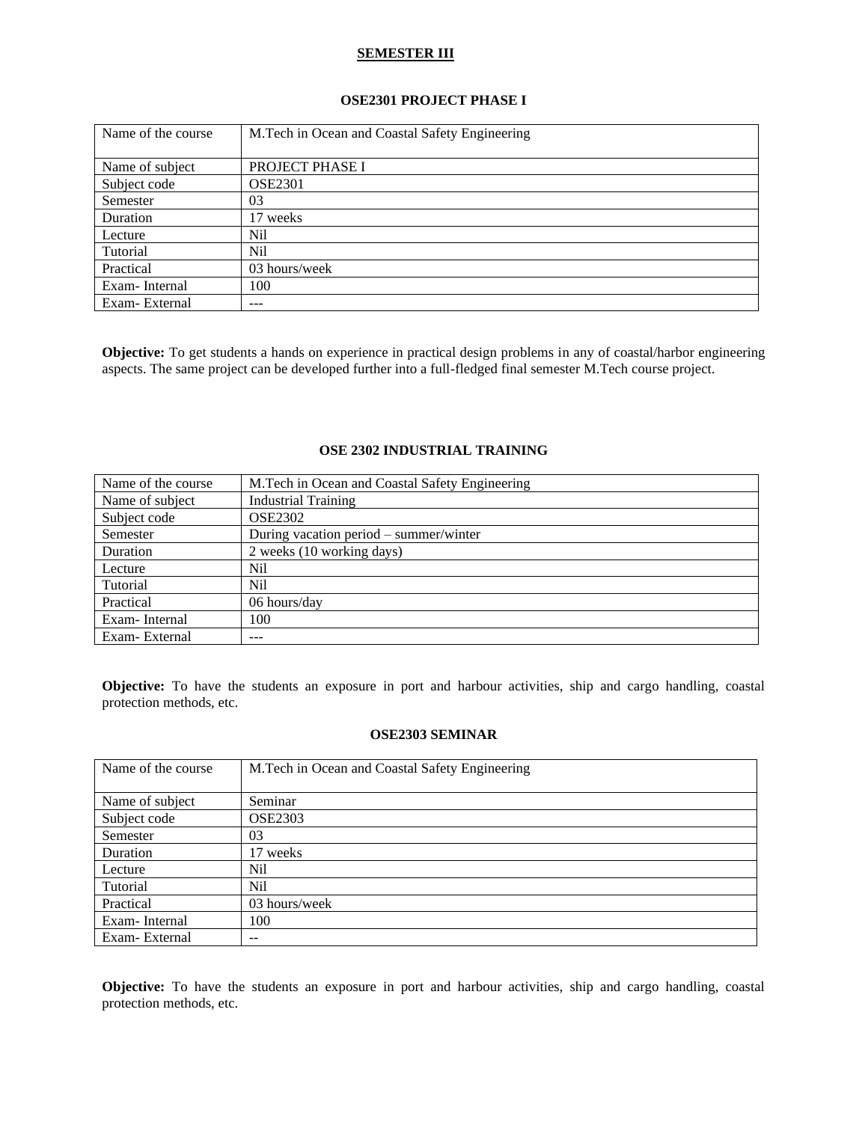### **SEMESTER III**

### **OSE2301 PROJECT PHASE I**

| Name of the course | M.Tech in Ocean and Coastal Safety Engineering |
|--------------------|------------------------------------------------|
|                    |                                                |
| Name of subject    | PROJECT PHASE I                                |
| Subject code       | <b>OSE2301</b>                                 |
| Semester           | 03                                             |
| Duration           | 17 weeks                                       |
| Lecture            | Nil                                            |
| Tutorial           | Nil                                            |
| Practical          | 03 hours/week                                  |
| Exam-Internal      | 100                                            |
| Exam-External      | ---                                            |

**Objective:** To get students a hands on experience in practical design problems in any of coastal/harbor engineering aspects. The same project can be developed further into a full-fledged final semester M.Tech course project.

### **OSE 2302 INDUSTRIAL TRAINING**

| Name of the course | M. Tech in Ocean and Coastal Safety Engineering |
|--------------------|-------------------------------------------------|
| Name of subject    | <b>Industrial Training</b>                      |
| Subject code       | <b>OSE2302</b>                                  |
| Semester           | During vacation period – summer/winter          |
| Duration           | 2 weeks (10 working days)                       |
| Lecture            | Nil                                             |
| Tutorial           | Nil                                             |
| Practical          | 06 hours/day                                    |
| Exam-Internal      | 100                                             |
| Exam-External      | ---                                             |

**Objective:** To have the students an exposure in port and harbour activities, ship and cargo handling, coastal protection methods, etc.

## **OSE2303 SEMINAR**

| Name of the course | M.Tech in Ocean and Coastal Safety Engineering |
|--------------------|------------------------------------------------|
| Name of subject    | Seminar                                        |
| Subject code       | <b>OSE2303</b>                                 |
| Semester           | 03                                             |
| Duration           | 17 weeks                                       |
| Lecture            | Nil                                            |
| Tutorial           | Nil                                            |
| Practical          | 03 hours/week                                  |
| Exam-Internal      | 100                                            |
| Exam-External      | --                                             |

**Objective:** To have the students an exposure in port and harbour activities, ship and cargo handling, coastal protection methods, etc.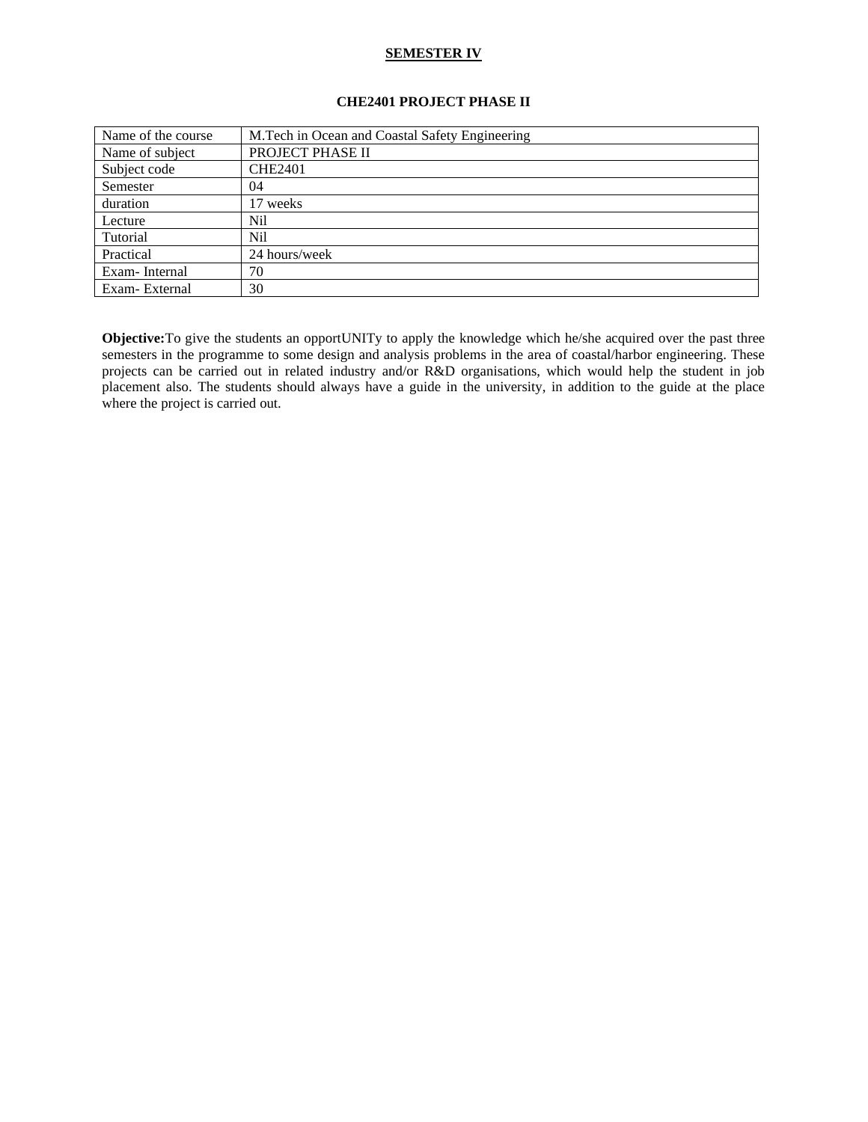## **SEMESTER IV**

# **CHE2401 PROJECT PHASE II**

| Name of the course | M. Tech in Ocean and Coastal Safety Engineering |
|--------------------|-------------------------------------------------|
| Name of subject    | PROJECT PHASE II                                |
| Subject code       | <b>CHE2401</b>                                  |
| Semester           | 04                                              |
| duration           | 17 weeks                                        |
| Lecture            | Nil                                             |
| Tutorial           | Nil                                             |
| Practical          | 24 hours/week                                   |
| Exam-Internal      | 70                                              |
| Exam-External      | 30                                              |

**Objective:**To give the students an opportUNITy to apply the knowledge which he/she acquired over the past three semesters in the programme to some design and analysis problems in the area of coastal/harbor engineering. These projects can be carried out in related industry and/or R&D organisations, which would help the student in job placement also. The students should always have a guide in the university, in addition to the guide at the place where the project is carried out.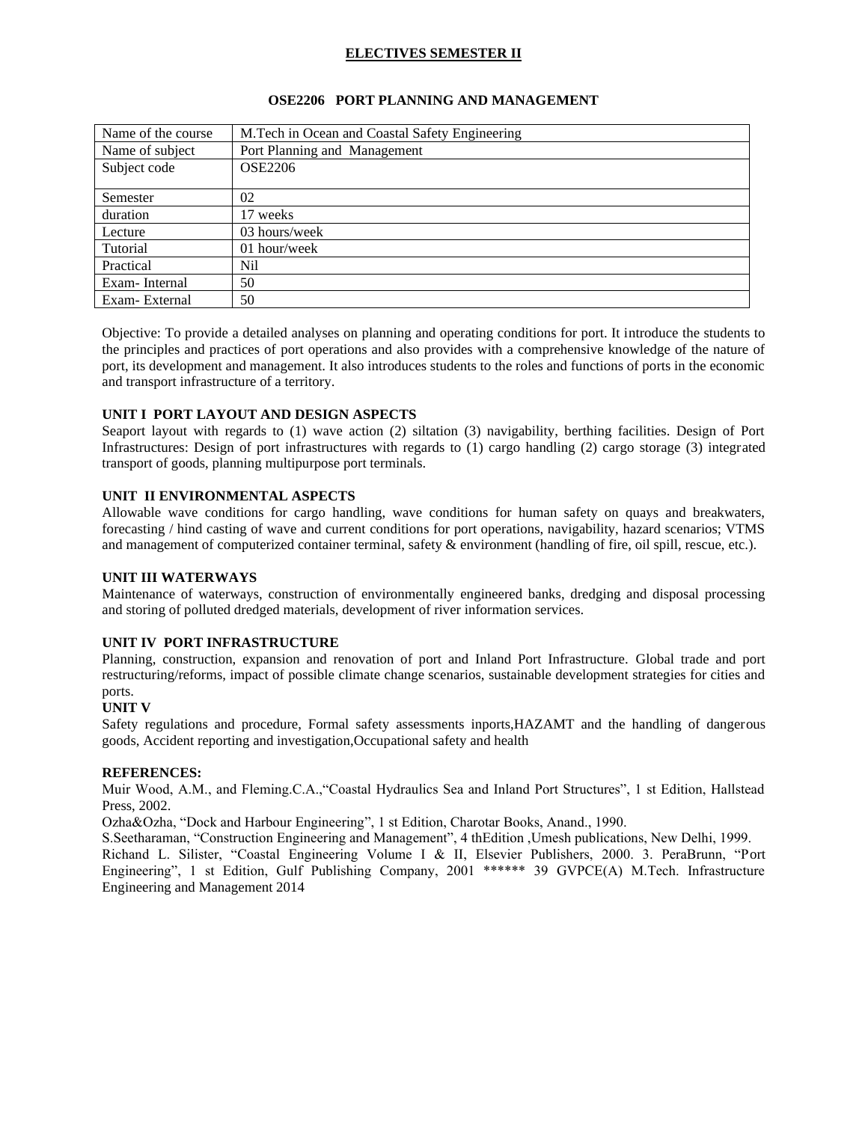# **ELECTIVES SEMESTER II**

### **OSE2206 PORT PLANNING AND MANAGEMENT**

| Name of the course | M.Tech in Ocean and Coastal Safety Engineering |
|--------------------|------------------------------------------------|
| Name of subject    | Port Planning and Management                   |
| Subject code       | <b>OSE2206</b>                                 |
|                    |                                                |
| Semester           | 02                                             |
| duration           | 17 weeks                                       |
| Lecture            | 03 hours/week                                  |
| Tutorial           | 01 hour/week                                   |
| Practical          | Nil                                            |
| Exam-Internal      | 50                                             |
| Exam-External      | 50                                             |

Objective: To provide a detailed analyses on planning and operating conditions for port. It introduce the students to the principles and practices of port operations and also provides with a comprehensive knowledge of the nature of port, its development and management. It also introduces students to the roles and functions of ports in the economic and transport infrastructure of a territory.

### **UNIT I PORT LAYOUT AND DESIGN ASPECTS**

Seaport layout with regards to (1) wave action (2) siltation (3) navigability, berthing facilities. Design of Port Infrastructures: Design of port infrastructures with regards to (1) cargo handling (2) cargo storage (3) integrated transport of goods, planning multipurpose port terminals.

### **UNIT II ENVIRONMENTAL ASPECTS**

Allowable wave conditions for cargo handling, wave conditions for human safety on quays and breakwaters, forecasting / hind casting of wave and current conditions for port operations, navigability, hazard scenarios; VTMS and management of computerized container terminal, safety & environment (handling of fire, oil spill, rescue, etc.).

### **UNIT III WATERWAYS**

Maintenance of waterways, construction of environmentally engineered banks, dredging and disposal processing and storing of polluted dredged materials, development of river information services.

## **UNIT IV PORT INFRASTRUCTURE**

Planning, construction, expansion and renovation of port and Inland Port Infrastructure. Global trade and port restructuring/reforms, impact of possible climate change scenarios, sustainable development strategies for cities and ports.

### **UNIT V**

Safety regulations and procedure, Formal safety assessments inports,HAZAMT and the handling of dangerous goods, Accident reporting and investigation,Occupational safety and health

### **REFERENCES:**

Muir Wood, A.M., and Fleming.C.A.,"Coastal Hydraulics Sea and Inland Port Structures", 1 st Edition, Hallstead Press, 2002.

Ozha&Ozha, "Dock and Harbour Engineering", 1 st Edition, Charotar Books, Anand., 1990.

S.Seetharaman, "Construction Engineering and Management", 4 thEdition ,Umesh publications, New Delhi, 1999. Richand L. Silister, "Coastal Engineering Volume I & II, Elsevier Publishers, 2000. 3. PeraBrunn, "Port Engineering", 1 st Edition, Gulf Publishing Company, 2001 \*\*\*\*\*\* 39 GVPCE(A) M.Tech. Infrastructure Engineering and Management 2014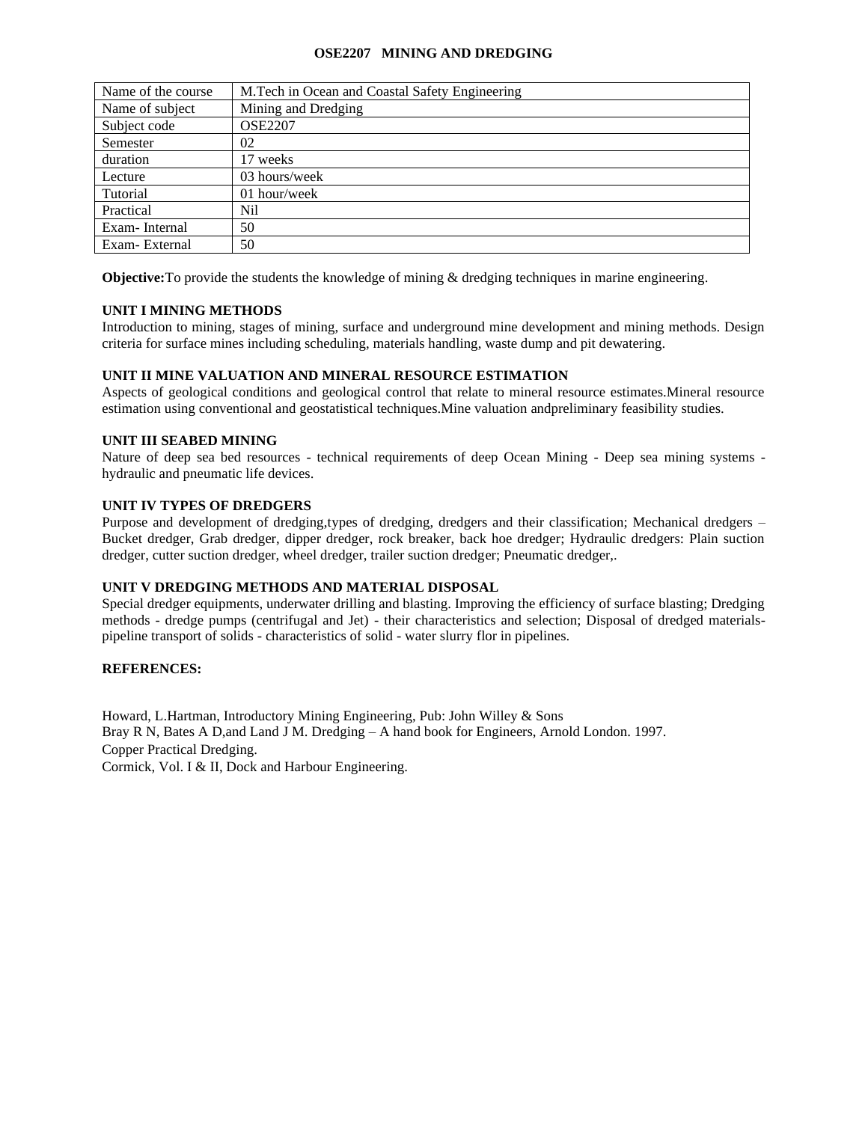### **OSE2207 MINING AND DREDGING**

| Name of the course | M.Tech in Ocean and Coastal Safety Engineering |
|--------------------|------------------------------------------------|
| Name of subject    | Mining and Dredging                            |
| Subject code       | <b>OSE2207</b>                                 |
| Semester           | 02                                             |
| duration           | 17 weeks                                       |
| Lecture            | 03 hours/week                                  |
| Tutorial           | 01 hour/week                                   |
| Practical          | Nil                                            |
| Exam-Internal      | 50                                             |
| Exam-External      | 50                                             |

**Objective:** To provide the students the knowledge of mining & dredging techniques in marine engineering.

## **UNIT I MINING METHODS**

Introduction to mining, stages of mining, surface and underground mine development and mining methods. Design criteria for surface mines including scheduling, materials handling, waste dump and pit dewatering.

### **UNIT II MINE VALUATION AND MINERAL RESOURCE ESTIMATION**

Aspects of geological conditions and geological control that relate to mineral resource estimates.Mineral resource estimation using conventional and geostatistical techniques.Mine valuation andpreliminary feasibility studies.

### **UNIT III SEABED MINING**

Nature of deep sea bed resources - technical requirements of deep Ocean Mining - Deep sea mining systems hydraulic and pneumatic life devices.

## **UNIT IV TYPES OF DREDGERS**

Purpose and development of dredging,types of dredging, dredgers and their classification; Mechanical dredgers – Bucket dredger, Grab dredger, dipper dredger, rock breaker, back hoe dredger; Hydraulic dredgers: Plain suction dredger, cutter suction dredger, wheel dredger, trailer suction dredger; Pneumatic dredger,.

### **UNIT V DREDGING METHODS AND MATERIAL DISPOSAL**

Special dredger equipments, underwater drilling and blasting. Improving the efficiency of surface blasting; Dredging methods - dredge pumps (centrifugal and Jet) - their characteristics and selection; Disposal of dredged materialspipeline transport of solids - characteristics of solid - water slurry flor in pipelines.

### **REFERENCES:**

Howard, L.Hartman, Introductory Mining Engineering, Pub: John Willey & Sons Bray R N, Bates A D,and Land J M. Dredging – A hand book for Engineers, Arnold London. 1997. Copper Practical Dredging. Cormick, Vol. I & II, Dock and Harbour Engineering.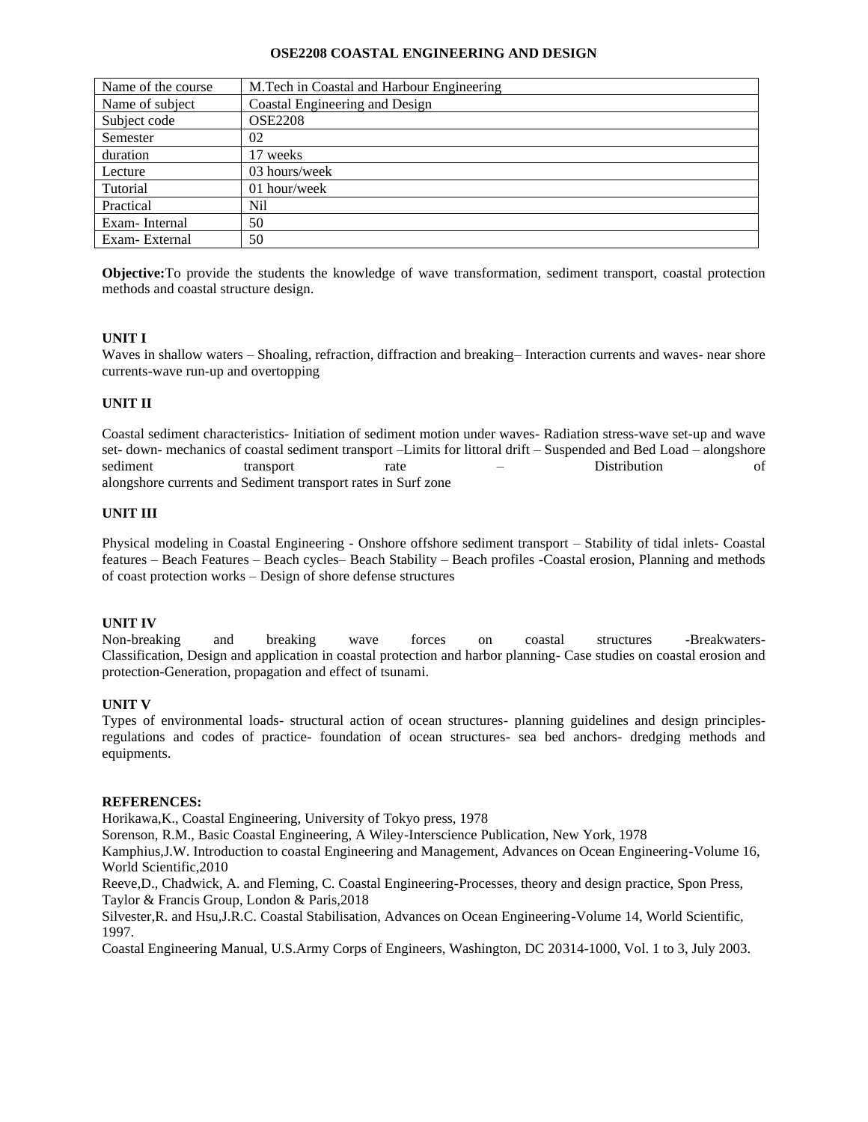#### **OSE2208 COASTAL ENGINEERING AND DESIGN**

| Name of the course | M. Tech in Coastal and Harbour Engineering |
|--------------------|--------------------------------------------|
| Name of subject    | Coastal Engineering and Design             |
| Subject code       | <b>OSE2208</b>                             |
| Semester           | 02                                         |
| duration           | 17 weeks                                   |
| Lecture            | 03 hours/week                              |
| Tutorial           | 01 hour/week                               |
| Practical          | Nil                                        |
| Exam-Internal      | 50                                         |
| Exam-External      | 50                                         |

**Objective:**To provide the students the knowledge of wave transformation, sediment transport, coastal protection methods and coastal structure design.

### **UNIT I**

Waves in shallow waters – Shoaling, refraction, diffraction and breaking– Interaction currents and waves- near shore currents-wave run-up and overtopping

### **UNIT II**

Coastal sediment characteristics- Initiation of sediment motion under waves- Radiation stress-wave set-up and wave set- down- mechanics of coastal sediment transport –Limits for littoral drift – Suspended and Bed Load – alongshore sediment transport rate – Distribution of alongshore currents and Sediment transport rates in Surf zone

### **UNIT III**

Physical modeling in Coastal Engineering - Onshore offshore sediment transport – Stability of tidal inlets- Coastal features – Beach Features – Beach cycles– Beach Stability – Beach profiles -Coastal erosion, Planning and methods of coast protection works – Design of shore defense structures

### **UNIT IV**

Non-breaking and breaking wave forces on coastal structures -Breakwaters-Classification, Design and application in coastal protection and harbor planning- Case studies on coastal erosion and protection-Generation, propagation and effect of tsunami.

### **UNIT V**

Types of environmental loads- structural action of ocean structures- planning guidelines and design principlesregulations and codes of practice- foundation of ocean structures- sea bed anchors- dredging methods and equipments.

### **REFERENCES:**

Horikawa,K., Coastal Engineering, University of Tokyo press, 1978

Sorenson, R.M., Basic Coastal Engineering, A Wiley-Interscience Publication, New York, 1978

Kamphius,J.W. Introduction to coastal Engineering and Management, Advances on Ocean Engineering-Volume 16, World Scientific,2010

Reeve,D., Chadwick, A. and Fleming, C. Coastal Engineering-Processes, theory and design practice, Spon Press, Taylor & Francis Group, London & Paris,2018

Silvester,R. and Hsu,J.R.C. Coastal Stabilisation, Advances on Ocean Engineering-Volume 14, World Scientific, 1997.

Coastal Engineering Manual, U.S.Army Corps of Engineers, Washington, DC 20314-1000, Vol. 1 to 3, July 2003.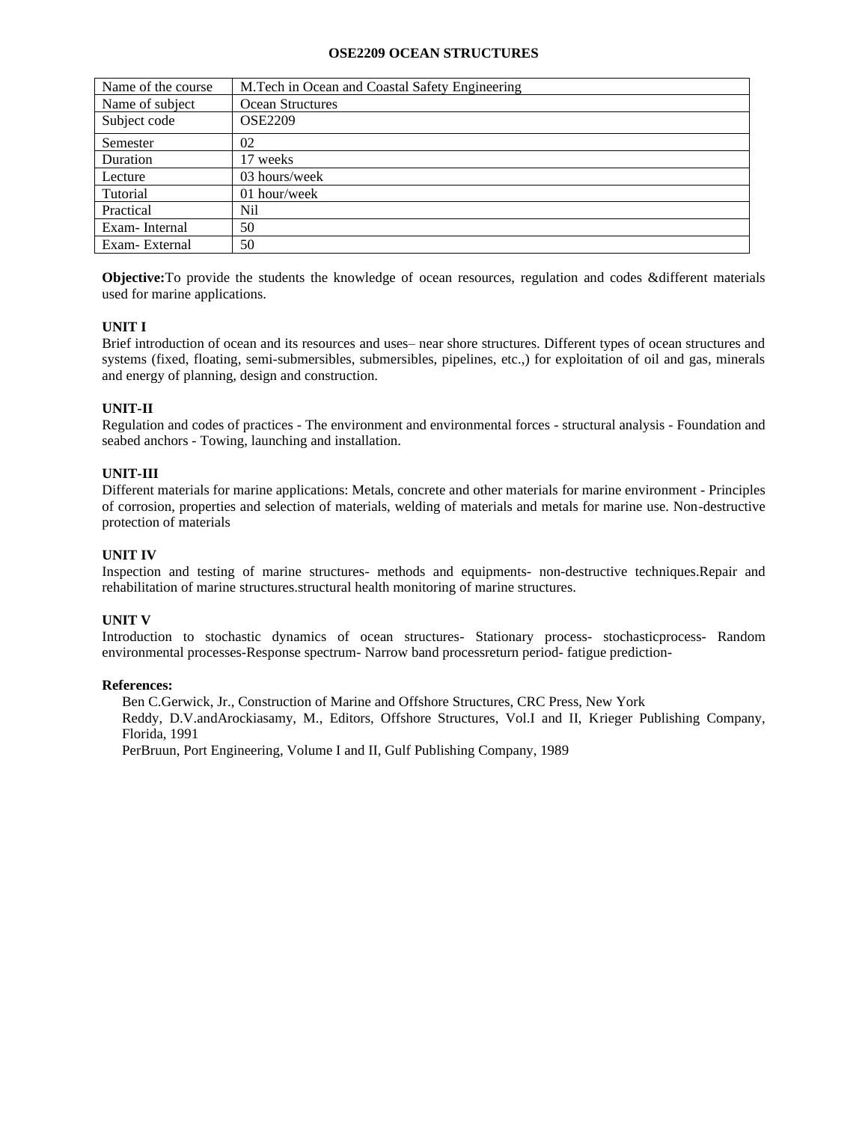### **OSE2209 OCEAN STRUCTURES**

| Name of the course | M.Tech in Ocean and Coastal Safety Engineering |
|--------------------|------------------------------------------------|
| Name of subject    | Ocean Structures                               |
| Subject code       | <b>OSE2209</b>                                 |
| Semester           | 02                                             |
| Duration           | 17 weeks                                       |
| Lecture            | 03 hours/week                                  |
| Tutorial           | 01 hour/week                                   |
| Practical          | Nil                                            |
| Exam-Internal      | 50                                             |
| Exam-External      | 50                                             |

**Objective:**To provide the students the knowledge of ocean resources, regulation and codes &different materials used for marine applications.

# **UNIT I**

Brief introduction of ocean and its resources and uses– near shore structures. Different types of ocean structures and systems (fixed, floating, semi-submersibles, submersibles, pipelines, etc.,) for exploitation of oil and gas, minerals and energy of planning, design and construction.

## **UNIT-II**

Regulation and codes of practices - The environment and environmental forces - structural analysis - Foundation and seabed anchors - Towing, launching and installation.

## **UNIT-III**

Different materials for marine applications: Metals, concrete and other materials for marine environment - Principles of corrosion, properties and selection of materials, welding of materials and metals for marine use. Non-destructive protection of materials

## **UNIT IV**

Inspection and testing of marine structures- methods and equipments- non-destructive techniques.Repair and rehabilitation of marine structures.structural health monitoring of marine structures.

## **UNIT V**

Introduction to stochastic dynamics of ocean structures- Stationary process- stochasticprocess- Random environmental processes-Response spectrum- Narrow band processreturn period- fatigue prediction-

### **References:**

Ben C.Gerwick, Jr., Construction of Marine and Offshore Structures, CRC Press, New York Reddy, D.V.andArockiasamy, M., Editors, Offshore Structures, Vol.I and II, Krieger Publishing Company, Florida, 1991

PerBruun, Port Engineering, Volume I and II, Gulf Publishing Company, 1989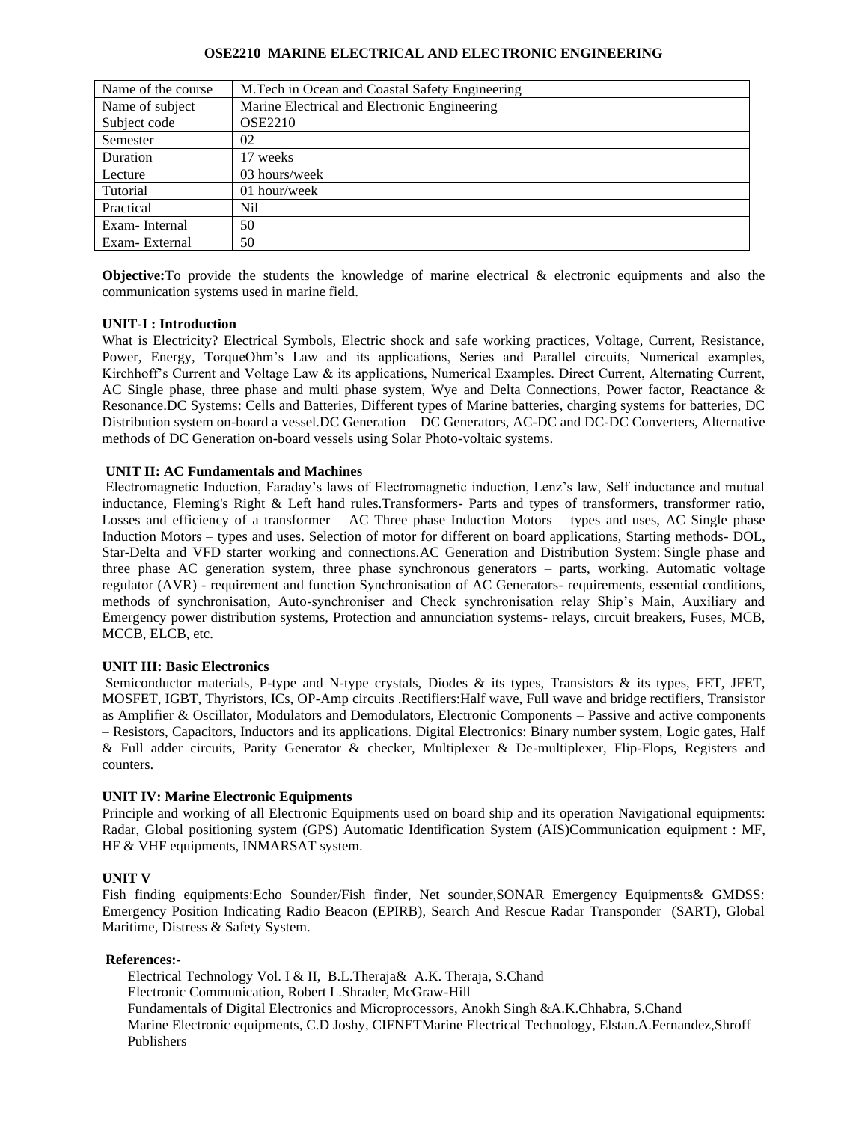### **OSE2210 MARINE ELECTRICAL AND ELECTRONIC ENGINEERING**

| Name of the course | M. Tech in Ocean and Coastal Safety Engineering |
|--------------------|-------------------------------------------------|
| Name of subject    | Marine Electrical and Electronic Engineering    |
| Subject code       | <b>OSE2210</b>                                  |
| Semester           | 02                                              |
| Duration           | 17 weeks                                        |
| Lecture            | 03 hours/week                                   |
| Tutorial           | 01 hour/week                                    |
| Practical          | Nil                                             |
| Exam-Internal      | 50                                              |
| Exam-External      | 50                                              |

**Objective:**To provide the students the knowledge of marine electrical & electronic equipments and also the communication systems used in marine field.

### **UNIT-I : Introduction**

What is Electricity? Electrical Symbols, Electric shock and safe working practices, Voltage, Current, Resistance, Power, Energy, TorqueOhm's Law and its applications, Series and Parallel circuits, Numerical examples, Kirchhoff's Current and Voltage Law & its applications, Numerical Examples. Direct Current, Alternating Current, AC Single phase, three phase and multi phase system, Wye and Delta Connections, Power factor, Reactance & Resonance.DC Systems: Cells and Batteries, Different types of Marine batteries, charging systems for batteries, DC Distribution system on-board a vessel.DC Generation – DC Generators, AC-DC and DC-DC Converters, Alternative methods of DC Generation on-board vessels using Solar Photo-voltaic systems.

### **UNIT II: AC Fundamentals and Machines**

Electromagnetic Induction, Faraday's laws of Electromagnetic induction, Lenz's law, Self inductance and mutual inductance, Fleming's Right & Left hand rules.Transformers- Parts and types of transformers, transformer ratio, Losses and efficiency of a transformer  $-$  AC Three phase Induction Motors  $-$  types and uses, AC Single phase Induction Motors – types and uses. Selection of motor for different on board applications, Starting methods- DOL, Star-Delta and VFD starter working and connections.AC Generation and Distribution System: Single phase and three phase AC generation system, three phase synchronous generators – parts, working. Automatic voltage regulator (AVR) - requirement and function Synchronisation of AC Generators- requirements, essential conditions, methods of synchronisation, Auto-synchroniser and Check synchronisation relay Ship's Main, Auxiliary and Emergency power distribution systems, Protection and annunciation systems- relays, circuit breakers, Fuses, MCB, MCCB, ELCB, etc.

### **UNIT III: Basic Electronics**

Semiconductor materials, P-type and N-type crystals, Diodes & its types, Transistors & its types, FET, JFET, MOSFET, IGBT, Thyristors, ICs, OP-Amp circuits .Rectifiers:Half wave, Full wave and bridge rectifiers, Transistor as Amplifier & Oscillator, Modulators and Demodulators, Electronic Components – Passive and active components – Resistors, Capacitors, Inductors and its applications. Digital Electronics: Binary number system, Logic gates, Half & Full adder circuits, Parity Generator & checker, Multiplexer & De-multiplexer, Flip-Flops, Registers and counters.

### **UNIT IV: Marine Electronic Equipments**

Principle and working of all Electronic Equipments used on board ship and its operation Navigational equipments: Radar, Global positioning system (GPS) Automatic Identification System (AIS)Communication equipment : MF, HF & VHF equipments, INMARSAT system.

### **UNIT V**

Fish finding equipments:Echo Sounder/Fish finder, Net sounder,SONAR Emergency Equipments& GMDSS: Emergency Position Indicating Radio Beacon (EPIRB), Search And Rescue Radar Transponder (SART), Global Maritime, Distress & Safety System.

### **References:-**

Electrical Technology Vol. I & II, B.L.Theraja& A.K. Theraja, S.Chand Electronic Communication, Robert L.Shrader, McGraw-Hill Fundamentals of Digital Electronics and Microprocessors, Anokh Singh &A.K.Chhabra, S.Chand Marine Electronic equipments, C.D Joshy, CIFNETMarine Electrical Technology, Elstan.A.Fernandez,Shroff Publishers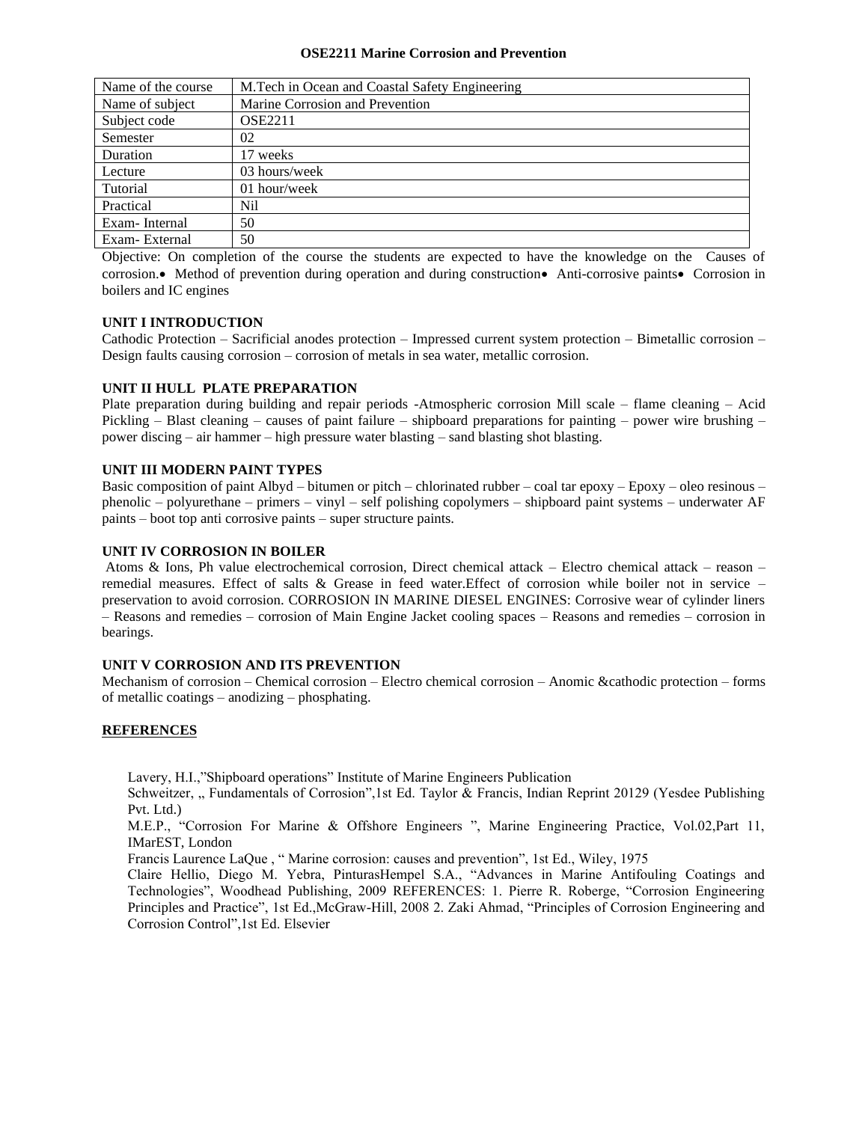#### **OSE2211 Marine Corrosion and Prevention**

| Name of the course | M. Tech in Ocean and Coastal Safety Engineering |
|--------------------|-------------------------------------------------|
| Name of subject    | Marine Corrosion and Prevention                 |
| Subject code       | <b>OSE2211</b>                                  |
| Semester           | 02                                              |
| Duration           | 17 weeks                                        |
| Lecture            | 03 hours/week                                   |
| Tutorial           | 01 hour/week                                    |
| Practical          | Nil                                             |
| Exam-Internal      | 50                                              |
| Exam-External      | 50                                              |

Objective: On completion of the course the students are expected to have the knowledge on the Causes of corrosion.• Method of prevention during operation and during construction• Anti-corrosive paints• Corrosion in boilers and IC engines

## **UNIT I INTRODUCTION**

Cathodic Protection – Sacrificial anodes protection – Impressed current system protection – Bimetallic corrosion – Design faults causing corrosion – corrosion of metals in sea water, metallic corrosion.

### **UNIT II HULL PLATE PREPARATION**

Plate preparation during building and repair periods -Atmospheric corrosion Mill scale – flame cleaning – Acid Pickling – Blast cleaning – causes of paint failure – shipboard preparations for painting – power wire brushing – power discing – air hammer – high pressure water blasting – sand blasting shot blasting.

## **UNIT III MODERN PAINT TYPES**

Basic composition of paint Albyd – bitumen or pitch – chlorinated rubber – coal tar epoxy – Epoxy – oleo resinous – phenolic – polyurethane – primers – vinyl – self polishing copolymers – shipboard paint systems – underwater AF paints – boot top anti corrosive paints – super structure paints.

### **UNIT IV CORROSION IN BOILER**

Atoms & Ions, Ph value electrochemical corrosion, Direct chemical attack – Electro chemical attack – reason – remedial measures. Effect of salts & Grease in feed water.Effect of corrosion while boiler not in service – preservation to avoid corrosion. CORROSION IN MARINE DIESEL ENGINES: Corrosive wear of cylinder liners – Reasons and remedies – corrosion of Main Engine Jacket cooling spaces – Reasons and remedies – corrosion in bearings.

### **UNIT V CORROSION AND ITS PREVENTION**

Mechanism of corrosion – Chemical corrosion – Electro chemical corrosion – Anomic &cathodic protection – forms of metallic coatings – anodizing – phosphating.

### **REFERENCES**

Lavery, H.I.,"Shipboard operations" Institute of Marine Engineers Publication

Schweitzer, " Fundamentals of Corrosion",1st Ed. Taylor & Francis, Indian Reprint 20129 (Yesdee Publishing Pvt. Ltd.)

M.E.P., "Corrosion For Marine & Offshore Engineers ", Marine Engineering Practice, Vol.02,Part 11, IMarEST, London

Francis Laurence LaQue , " Marine corrosion: causes and prevention", 1st Ed., Wiley, 1975

Claire Hellio, Diego M. Yebra, PinturasHempel S.A., "Advances in Marine Antifouling Coatings and Technologies", Woodhead Publishing, 2009 REFERENCES: 1. Pierre R. Roberge, "Corrosion Engineering Principles and Practice", 1st Ed.,McGraw-Hill, 2008 2. Zaki Ahmad, "Principles of Corrosion Engineering and Corrosion Control",1st Ed. Elsevier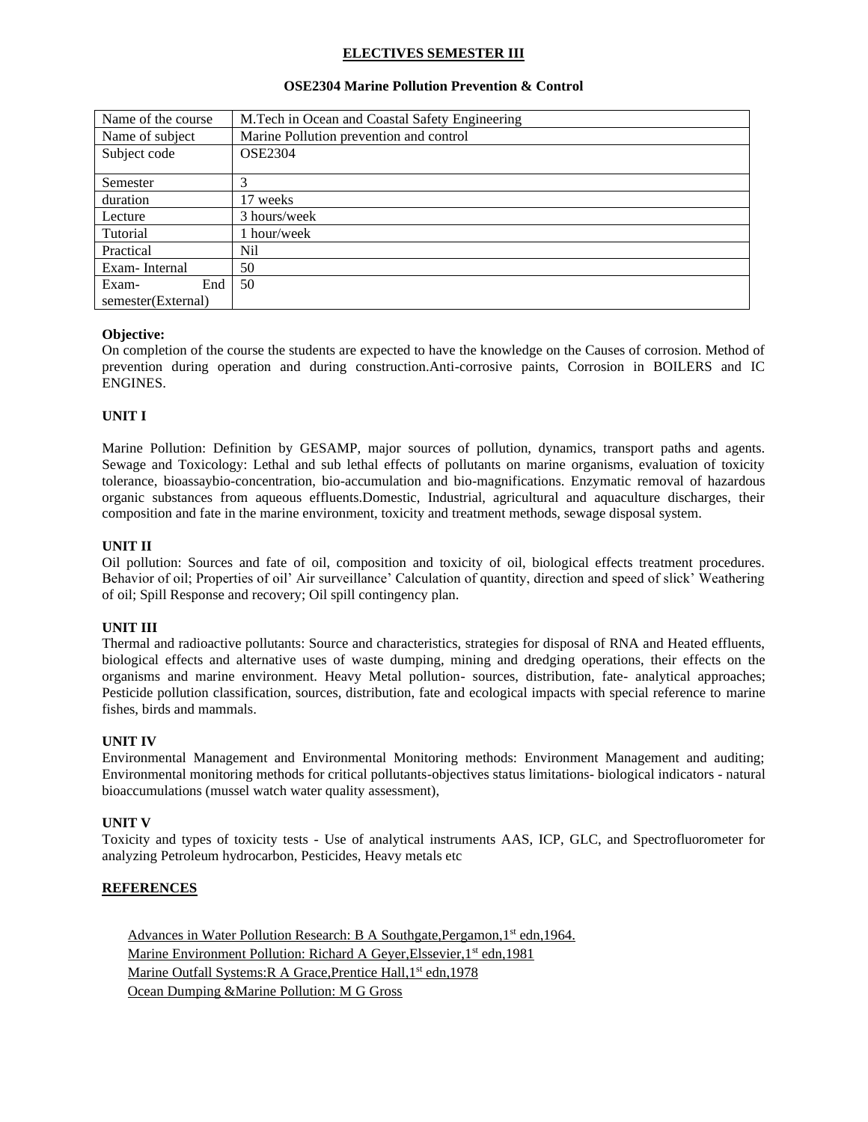## **ELECTIVES SEMESTER III**

| Name of the course | M.Tech in Ocean and Coastal Safety Engineering |
|--------------------|------------------------------------------------|
| Name of subject    | Marine Pollution prevention and control        |
| Subject code       | <b>OSE2304</b>                                 |
|                    |                                                |
| Semester           |                                                |
| duration           | 17 weeks                                       |
| Lecture            | 3 hours/week                                   |
| Tutorial           | l hour/week                                    |
| Practical          | Nil                                            |
| Exam-Internal      | 50                                             |
| End<br>Exam-       | 50                                             |
| semester(External) |                                                |

### **OSE2304 Marine Pollution Prevention & Control**

### **Objective:**

On completion of the course the students are expected to have the knowledge on the Causes of corrosion. Method of prevention during operation and during construction.Anti-corrosive paints, Corrosion in BOILERS and IC ENGINES.

### **UNIT I**

Marine Pollution: Definition by GESAMP, major sources of pollution, dynamics, transport paths and agents. Sewage and Toxicology: Lethal and sub lethal effects of pollutants on marine organisms, evaluation of toxicity tolerance, bioassaybio-concentration, bio-accumulation and bio-magnifications. Enzymatic removal of hazardous organic substances from aqueous effluents.Domestic, Industrial, agricultural and aquaculture discharges, their composition and fate in the marine environment, toxicity and treatment methods, sewage disposal system.

### **UNIT II**

Oil pollution: Sources and fate of oil, composition and toxicity of oil, biological effects treatment procedures. Behavior of oil; Properties of oil' Air surveillance' Calculation of quantity, direction and speed of slick' Weathering of oil; Spill Response and recovery; Oil spill contingency plan.

### **UNIT III**

Thermal and radioactive pollutants: Source and characteristics, strategies for disposal of RNA and Heated effluents, biological effects and alternative uses of waste dumping, mining and dredging operations, their effects on the organisms and marine environment. Heavy Metal pollution- sources, distribution, fate- analytical approaches; Pesticide pollution classification, sources, distribution, fate and ecological impacts with special reference to marine fishes, birds and mammals.

### **UNIT IV**

Environmental Management and Environmental Monitoring methods: Environment Management and auditing; Environmental monitoring methods for critical pollutants-objectives status limitations- biological indicators - natural bioaccumulations (mussel watch water quality assessment),

### **UNIT V**

Toxicity and types of toxicity tests - Use of analytical instruments AAS, ICP, GLC, and Spectrofluorometer for analyzing Petroleum hydrocarbon, Pesticides, Heavy metals etc

## **REFERENCES**

Advances in Water Pollution Research: B A Southgate, Pergamon, 1<sup>st</sup> edn, 1964. Marine Environment Pollution: Richard A Geyer, Elssevier, 1<sup>st</sup> edn, 1981 Marine Outfall Systems: R A Grace, Prentice Hall, 1<sup>st</sup> edn, 1978 Ocean Dumping &Marine Pollution: M G Gross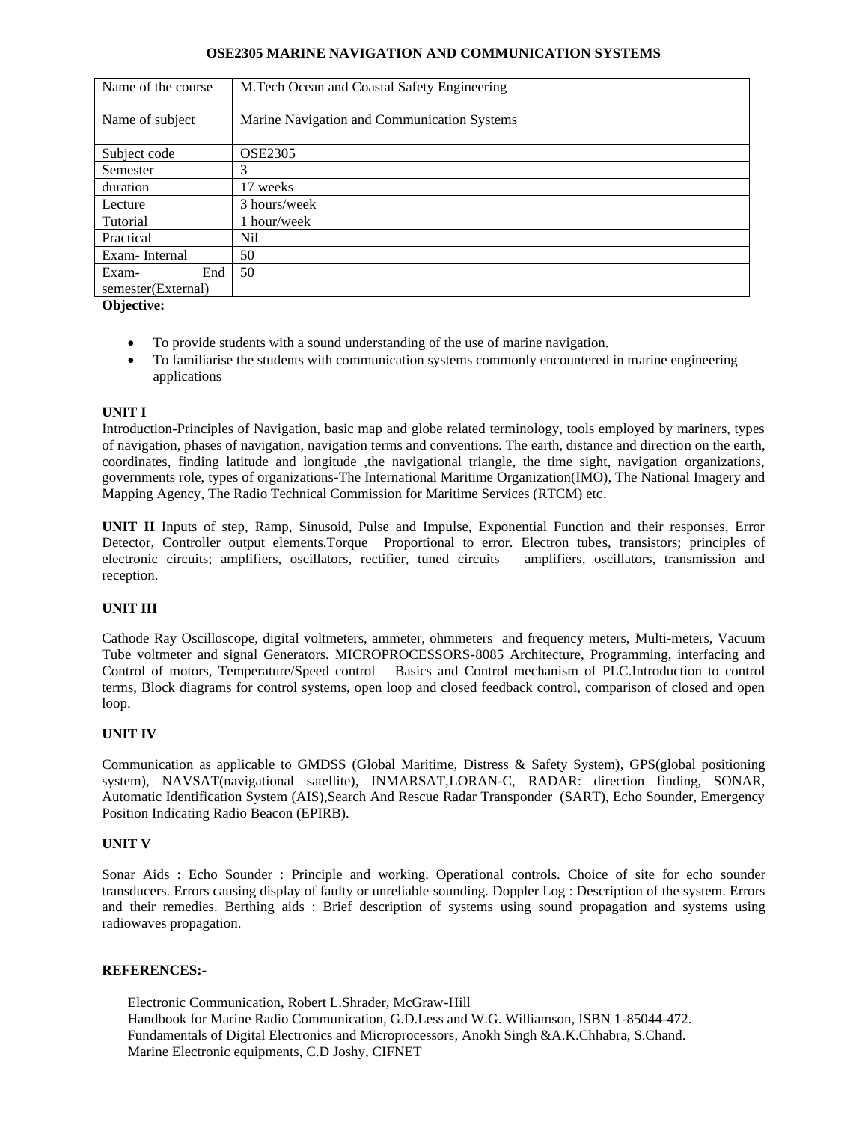### **OSE2305 MARINE NAVIGATION AND COMMUNICATION SYSTEMS**

| Name of the course | M.Tech Ocean and Coastal Safety Engineering |
|--------------------|---------------------------------------------|
| Name of subject    | Marine Navigation and Communication Systems |
| Subject code       | <b>OSE2305</b>                              |
| Semester           | 3                                           |
| duration           | 17 weeks                                    |
| Lecture            | 3 hours/week                                |
| Tutorial           | 1 hour/week                                 |
| Practical          | Nil                                         |
| Exam-Internal      | 50                                          |
| End<br>Exam-       | 50                                          |
| semester(External) |                                             |

**Objective:**

- To provide students with a sound understanding of the use of marine navigation.
- To familiarise the students with communication systems commonly encountered in marine engineering applications

### **UNIT I**

Introduction-Principles of Navigation, basic map and globe related terminology, tools employed by mariners, types of navigation, phases of navigation, navigation terms and conventions. The earth, distance and direction on the earth, coordinates, finding latitude and longitude ,the navigational triangle, the time sight, navigation organizations, governments role, types of organizations**-**The International Maritime Organization(IMO), The National Imagery and Mapping Agency, The Radio Technical Commission for Maritime Services (RTCM) etc.

**UNIT II** Inputs of step, Ramp, Sinusoid, Pulse and Impulse, Exponential Function and their responses, Error Detector, Controller output elements.Torque Proportional to error. Electron tubes, transistors; principles of electronic circuits; amplifiers, oscillators, rectifier, tuned circuits – amplifiers, oscillators, transmission and reception.

## **UNIT III**

Cathode Ray Oscilloscope, digital voltmeters, ammeter, ohmmeters and frequency meters, Multi-meters, Vacuum Tube voltmeter and signal Generators. MICROPROCESSORS-8085 Architecture, Programming, interfacing and Control of motors, Temperature/Speed control – Basics and Control mechanism of PLC.Introduction to control terms, Block diagrams for control systems, open loop and closed feedback control, comparison of closed and open loop.

### **UNIT IV**

Communication as applicable to GMDSS (Global Maritime, Distress & Safety System), GPS(global positioning system), NAVSAT(navigational satellite), INMARSAT,LORAN-C, RADAR: direction finding, SONAR, Automatic Identification System (AIS),Search And Rescue Radar Transponder (SART), Echo Sounder, Emergency Position Indicating Radio Beacon (EPIRB).

### **UNIT V**

Sonar Aids : Echo Sounder : Principle and working. Operational controls. Choice of site for echo sounder transducers. Errors causing display of faulty or unreliable sounding. Doppler Log : Description of the system. Errors and their remedies. Berthing aids : Brief description of systems using sound propagation and systems using radiowaves propagation.

### **REFERENCES:-**

Electronic Communication, Robert L.Shrader, McGraw-Hill Handbook for Marine Radio Communication, G.D.Less and W.G. Williamson, ISBN 1-85044-472. Fundamentals of Digital Electronics and Microprocessors, Anokh Singh &A.K.Chhabra, S.Chand. Marine Electronic equipments, C.D Joshy, CIFNET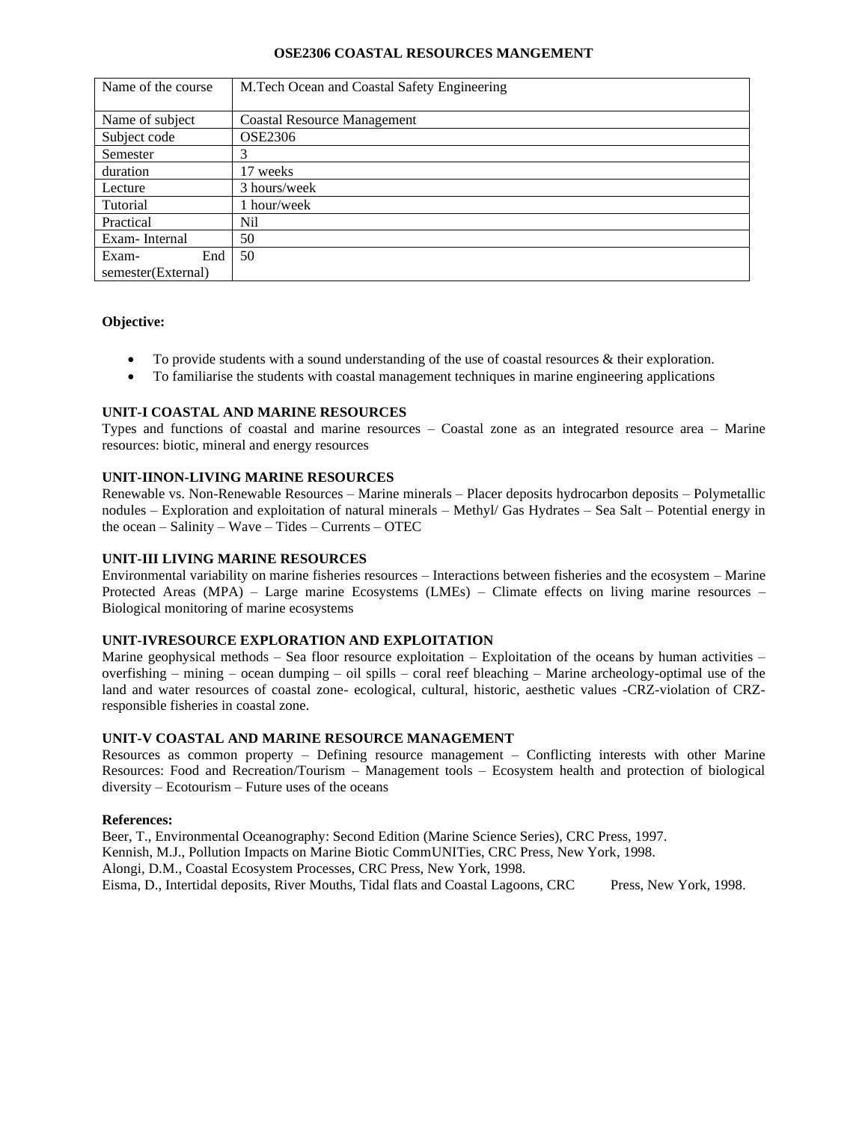### **OSE2306 COASTAL RESOURCES MANGEMENT**

| Name of the course | M.Tech Ocean and Coastal Safety Engineering |
|--------------------|---------------------------------------------|
|                    |                                             |
| Name of subject    | <b>Coastal Resource Management</b>          |
| Subject code       | <b>OSE2306</b>                              |
| Semester           | 3                                           |
| duration           | 17 weeks                                    |
| Lecture            | 3 hours/week                                |
| Tutorial           | 1 hour/week                                 |
| Practical          | Nil                                         |
| Exam-Internal      | 50                                          |
| End<br>Exam-       | 50                                          |
| semester(External) |                                             |

### **Objective:**

- To provide students with a sound understanding of the use of coastal resources & their exploration.
- To familiarise the students with coastal management techniques in marine engineering applications

## **UNIT-I COASTAL AND MARINE RESOURCES**

Types and functions of coastal and marine resources – Coastal zone as an integrated resource area – Marine resources: biotic, mineral and energy resources

### **UNIT-IINON-LIVING MARINE RESOURCES**

Renewable vs. Non-Renewable Resources – Marine minerals – Placer deposits hydrocarbon deposits – Polymetallic nodules – Exploration and exploitation of natural minerals – Methyl/ Gas Hydrates – Sea Salt – Potential energy in the ocean – Salinity – Wave – Tides – Currents – OTEC

### **UNIT-III LIVING MARINE RESOURCES**

Environmental variability on marine fisheries resources – Interactions between fisheries and the ecosystem – Marine Protected Areas (MPA) – Large marine Ecosystems (LMEs) – Climate effects on living marine resources – Biological monitoring of marine ecosystems

### **UNIT-IVRESOURCE EXPLORATION AND EXPLOITATION**

Marine geophysical methods – Sea floor resource exploitation – Exploitation of the oceans by human activities – overfishing – mining – ocean dumping – oil spills – coral reef bleaching – Marine archeology-optimal use of the land and water resources of coastal zone- ecological, cultural, historic, aesthetic values -CRZ-violation of CRZresponsible fisheries in coastal zone.

#### **UNIT-V COASTAL AND MARINE RESOURCE MANAGEMENT**

Resources as common property – Defining resource management – Conflicting interests with other Marine Resources: Food and Recreation/Tourism – Management tools – Ecosystem health and protection of biological diversity – Ecotourism – Future uses of the oceans

#### **References:**

Beer, T., Environmental Oceanography: Second Edition (Marine Science Series), CRC Press, 1997. Kennish, M.J., Pollution Impacts on Marine Biotic CommUNITies, CRC Press, New York, 1998. Alongi, D.M., Coastal Ecosystem Processes, CRC Press, New York, 1998. Eisma, D., Intertidal deposits, River Mouths, Tidal flats and Coastal Lagoons, CRC Press, New York, 1998.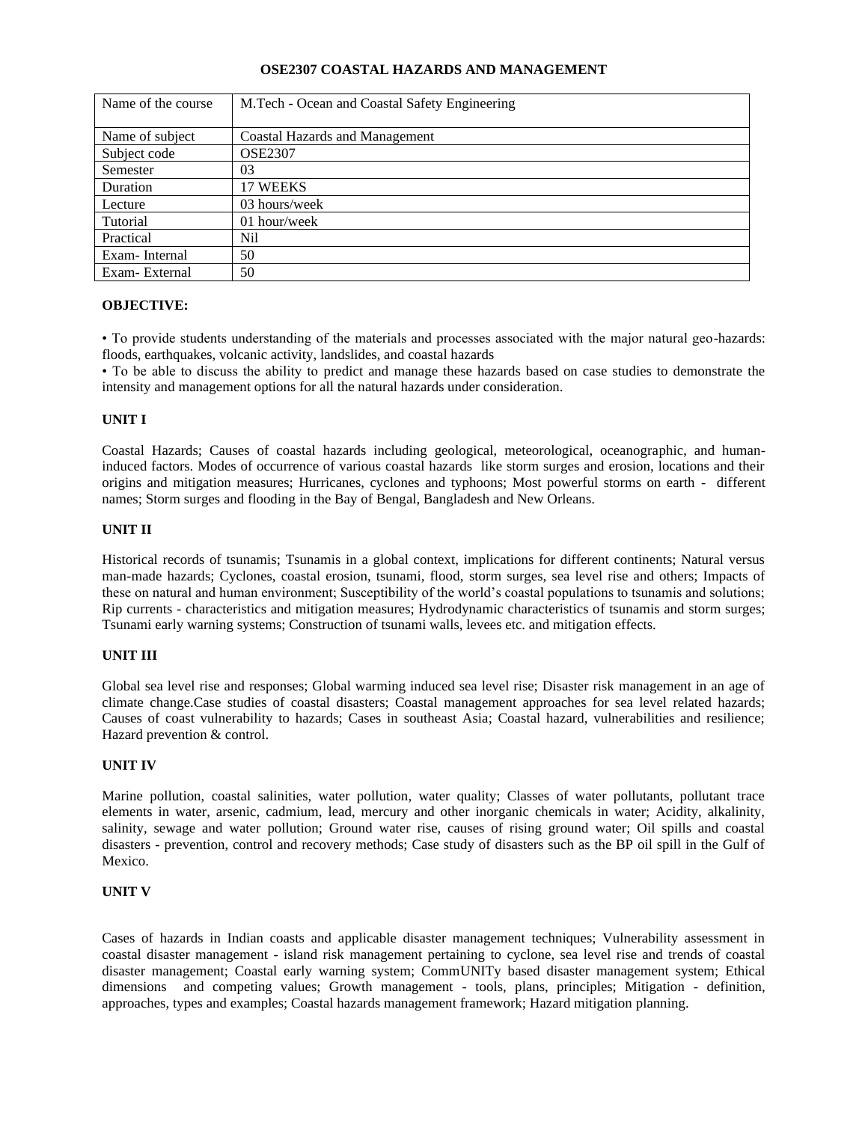## **OSE2307 COASTAL HAZARDS AND MANAGEMENT**

| Name of the course | M.Tech - Ocean and Coastal Safety Engineering |
|--------------------|-----------------------------------------------|
|                    |                                               |
| Name of subject    | Coastal Hazards and Management                |
| Subject code       | <b>OSE2307</b>                                |
| Semester           | 03                                            |
| Duration           | 17 WEEKS                                      |
| Lecture            | 03 hours/week                                 |
| Tutorial           | 01 hour/week                                  |
| Practical          | Nil                                           |
| Exam-Internal      | 50                                            |
| Exam-External      | 50                                            |

### **OBJECTIVE:**

• To provide students understanding of the materials and processes associated with the major natural geo-hazards: floods, earthquakes, volcanic activity, landslides, and coastal hazards

• To be able to discuss the ability to predict and manage these hazards based on case studies to demonstrate the intensity and management options for all the natural hazards under consideration.

### **UNIT I**

Coastal Hazards; Causes of coastal hazards including geological, meteorological, oceanographic, and humaninduced factors. Modes of occurrence of various coastal hazards like storm surges and erosion, locations and their origins and mitigation measures; Hurricanes, cyclones and typhoons; Most powerful storms on earth - different names; Storm surges and flooding in the Bay of Bengal, Bangladesh and New Orleans.

### **UNIT II**

Historical records of tsunamis; Tsunamis in a global context, implications for different continents; Natural versus man-made hazards; Cyclones, coastal erosion, tsunami, flood, storm surges, sea level rise and others; Impacts of these on natural and human environment; Susceptibility of the world's coastal populations to tsunamis and solutions; Rip currents - characteristics and mitigation measures; Hydrodynamic characteristics of tsunamis and storm surges; Tsunami early warning systems; Construction of tsunami walls, levees etc. and mitigation effects.

### **UNIT III**

Global sea level rise and responses; Global warming induced sea level rise; Disaster risk management in an age of climate change.Case studies of coastal disasters; Coastal management approaches for sea level related hazards; Causes of coast vulnerability to hazards; Cases in southeast Asia; Coastal hazard, vulnerabilities and resilience; Hazard prevention & control.

## **UNIT IV**

Marine pollution, coastal salinities, water pollution, water quality; Classes of water pollutants, pollutant trace elements in water, arsenic, cadmium, lead, mercury and other inorganic chemicals in water; Acidity, alkalinity, salinity, sewage and water pollution; Ground water rise, causes of rising ground water; Oil spills and coastal disasters - prevention, control and recovery methods; Case study of disasters such as the BP oil spill in the Gulf of Mexico.

### **UNIT V**

Cases of hazards in Indian coasts and applicable disaster management techniques; Vulnerability assessment in coastal disaster management - island risk management pertaining to cyclone, sea level rise and trends of coastal disaster management; Coastal early warning system; CommUNITy based disaster management system; Ethical dimensions and competing values; Growth management - tools, plans, principles; Mitigation - definition, approaches, types and examples; Coastal hazards management framework; Hazard mitigation planning.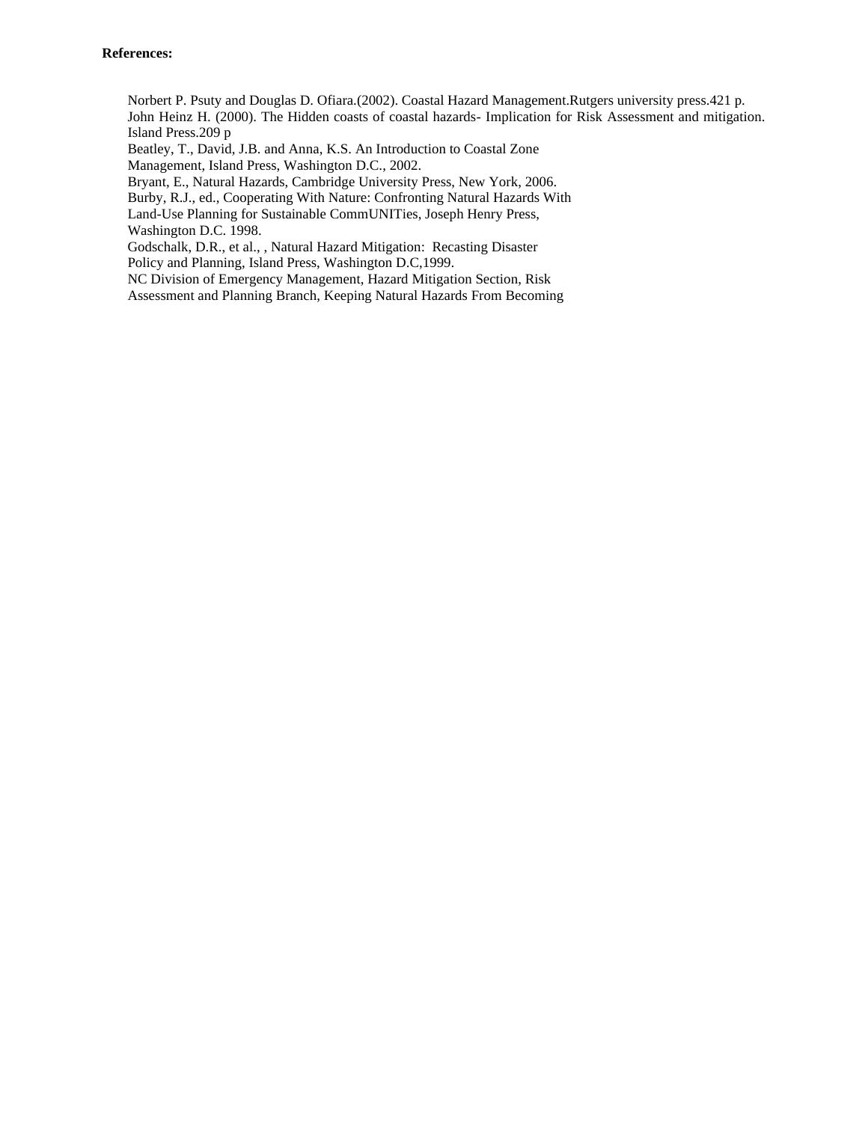### **References:**

Norbert P. Psuty and Douglas D. Ofiara.(2002). Coastal Hazard Management.Rutgers university press.421 p. John Heinz H. (2000). The Hidden coasts of coastal hazards- Implication for Risk Assessment and mitigation. Island Press.209 p

Beatley, T., David, J.B. and Anna, K.S. An Introduction to Coastal Zone Management, Island Press, Washington D.C., 2002.

Bryant, E., Natural Hazards, Cambridge University Press, New York, 2006.

Burby, R.J., ed., Cooperating With Nature: Confronting Natural Hazards With

Land-Use Planning for Sustainable CommUNITies, Joseph Henry Press, Washington D.C. 1998.

Godschalk, D.R., et al., , Natural Hazard Mitigation: Recasting Disaster Policy and Planning, Island Press, Washington D.C,1999.

NC Division of Emergency Management, Hazard Mitigation Section, Risk

Assessment and Planning Branch, Keeping Natural Hazards From Becoming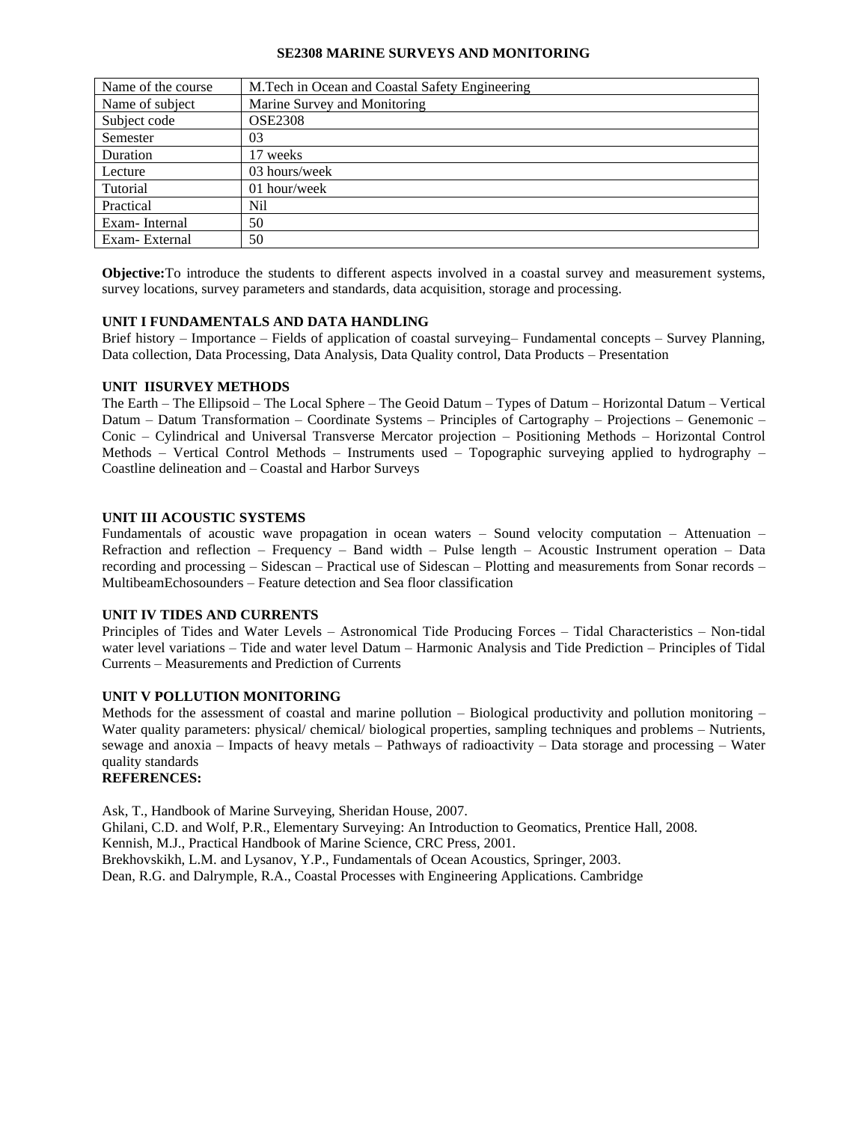### **SE2308 MARINE SURVEYS AND MONITORING**

| Name of the course | M. Tech in Ocean and Coastal Safety Engineering |
|--------------------|-------------------------------------------------|
| Name of subject    | Marine Survey and Monitoring                    |
| Subject code       | <b>OSE2308</b>                                  |
| Semester           | 03                                              |
| Duration           | 17 weeks                                        |
| Lecture            | 03 hours/week                                   |
| Tutorial           | 01 hour/week                                    |
| Practical          | Nil                                             |
| Exam-Internal      | 50                                              |
| Exam-External      | 50                                              |

**Objective:**To introduce the students to different aspects involved in a coastal survey and measurement systems, survey locations, survey parameters and standards, data acquisition, storage and processing.

### **UNIT I FUNDAMENTALS AND DATA HANDLING**

Brief history – Importance – Fields of application of coastal surveying– Fundamental concepts – Survey Planning, Data collection, Data Processing, Data Analysis, Data Quality control, Data Products – Presentation

## **UNIT IISURVEY METHODS**

The Earth – The Ellipsoid – The Local Sphere – The Geoid Datum – Types of Datum – Horizontal Datum – Vertical Datum – Datum Transformation – Coordinate Systems – Principles of Cartography – Projections – Genemonic – Conic – Cylindrical and Universal Transverse Mercator projection – Positioning Methods – Horizontal Control Methods – Vertical Control Methods – Instruments used – Topographic surveying applied to hydrography – Coastline delineation and – Coastal and Harbor Surveys

### **UNIT III ACOUSTIC SYSTEMS**

Fundamentals of acoustic wave propagation in ocean waters – Sound velocity computation – Attenuation – Refraction and reflection – Frequency – Band width – Pulse length – Acoustic Instrument operation – Data recording and processing – Sidescan – Practical use of Sidescan – Plotting and measurements from Sonar records – MultibeamEchosounders – Feature detection and Sea floor classification

### **UNIT IV TIDES AND CURRENTS**

Principles of Tides and Water Levels – Astronomical Tide Producing Forces – Tidal Characteristics – Non-tidal water level variations – Tide and water level Datum – Harmonic Analysis and Tide Prediction – Principles of Tidal Currents – Measurements and Prediction of Currents

### **UNIT V POLLUTION MONITORING**

Methods for the assessment of coastal and marine pollution – Biological productivity and pollution monitoring – Water quality parameters: physical/ chemical/ biological properties, sampling techniques and problems – Nutrients, sewage and anoxia – Impacts of heavy metals – Pathways of radioactivity – Data storage and processing – Water quality standards

### **REFERENCES:**

Ask, T., Handbook of Marine Surveying, Sheridan House, 2007. Ghilani, C.D. and Wolf, P.R., Elementary Surveying: An Introduction to Geomatics, Prentice Hall, 2008. Kennish, M.J., Practical Handbook of Marine Science, CRC Press, 2001. Brekhovskikh, L.M. and Lysanov, Y.P., Fundamentals of Ocean Acoustics, Springer, 2003. Dean, R.G. and Dalrymple, R.A., Coastal Processes with Engineering Applications. Cambridge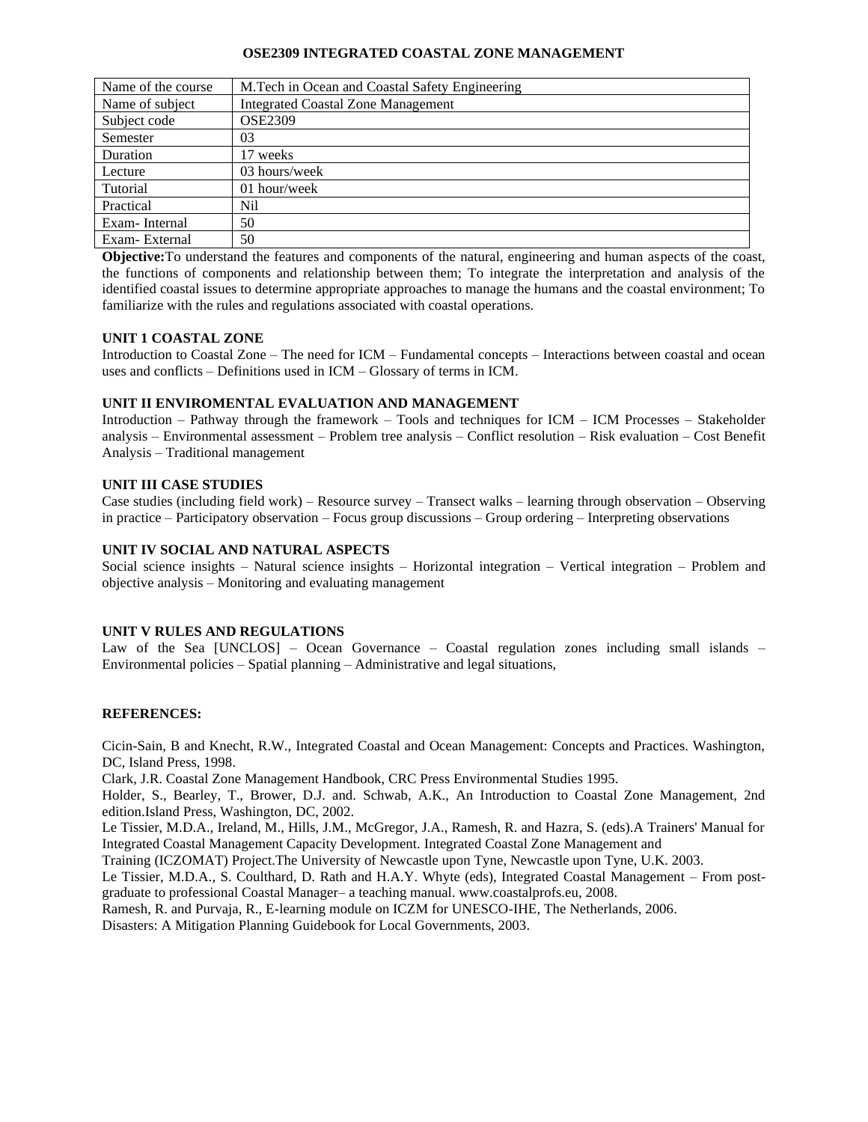### **OSE2309 INTEGRATED COASTAL ZONE MANAGEMENT**

| Name of the course | M. Tech in Ocean and Coastal Safety Engineering |
|--------------------|-------------------------------------------------|
| Name of subject    | <b>Integrated Coastal Zone Management</b>       |
| Subject code       | <b>OSE2309</b>                                  |
| Semester           | 03                                              |
| Duration           | 17 weeks                                        |
| Lecture            | 03 hours/week                                   |
| Tutorial           | 01 hour/week                                    |
| Practical          | Nil                                             |
| Exam-Internal      | 50                                              |
| Exam-External      | 50                                              |

**Objective:**To understand the features and components of the natural, engineering and human aspects of the coast, the functions of components and relationship between them; To integrate the interpretation and analysis of the identified coastal issues to determine appropriate approaches to manage the humans and the coastal environment; To familiarize with the rules and regulations associated with coastal operations.

## **UNIT 1 COASTAL ZONE**

Introduction to Coastal Zone – The need for ICM – Fundamental concepts – Interactions between coastal and ocean uses and conflicts – Definitions used in ICM – Glossary of terms in ICM.

### **UNIT II ENVIROMENTAL EVALUATION AND MANAGEMENT**

Introduction – Pathway through the framework – Tools and techniques for ICM – ICM Processes – Stakeholder analysis – Environmental assessment – Problem tree analysis – Conflict resolution – Risk evaluation – Cost Benefit Analysis – Traditional management

### **UNIT III CASE STUDIES**

Case studies (including field work) – Resource survey – Transect walks – learning through observation – Observing in practice – Participatory observation – Focus group discussions – Group ordering – Interpreting observations

### **UNIT IV SOCIAL AND NATURAL ASPECTS**

Social science insights – Natural science insights – Horizontal integration – Vertical integration – Problem and objective analysis – Monitoring and evaluating management

### **UNIT V RULES AND REGULATIONS**

Law of the Sea [UNCLOS] – Ocean Governance – Coastal regulation zones including small islands – Environmental policies – Spatial planning – Administrative and legal situations,

## **REFERENCES:**

Cicin-Sain, B and Knecht, R.W., Integrated Coastal and Ocean Management: Concepts and Practices. Washington, DC, Island Press, 1998.

Clark, J.R. Coastal Zone Management Handbook, CRC Press Environmental Studies 1995.

Holder, S., Bearley, T., Brower, D.J. and. Schwab, A.K., An Introduction to Coastal Zone Management, 2nd edition.Island Press, Washington, DC, 2002.

Le Tissier, M.D.A., Ireland, M., Hills, J.M., McGregor, J.A., Ramesh, R. and Hazra, S. (eds).A Trainers' Manual for Integrated Coastal Management Capacity Development. Integrated Coastal Zone Management and

Training (ICZOMAT) Project.The University of Newcastle upon Tyne, Newcastle upon Tyne, U.K. 2003.

Le Tissier, M.D.A., S. Coulthard, D. Rath and H.A.Y. Whyte (eds), Integrated Coastal Management – From postgraduate to professional Coastal Manager– a teaching manual. www.coastalprofs.eu, 2008.

Ramesh, R. and Purvaja, R., E-learning module on ICZM for UNESCO-IHE, The Netherlands, 2006.

Disasters: A Mitigation Planning Guidebook for Local Governments, 2003.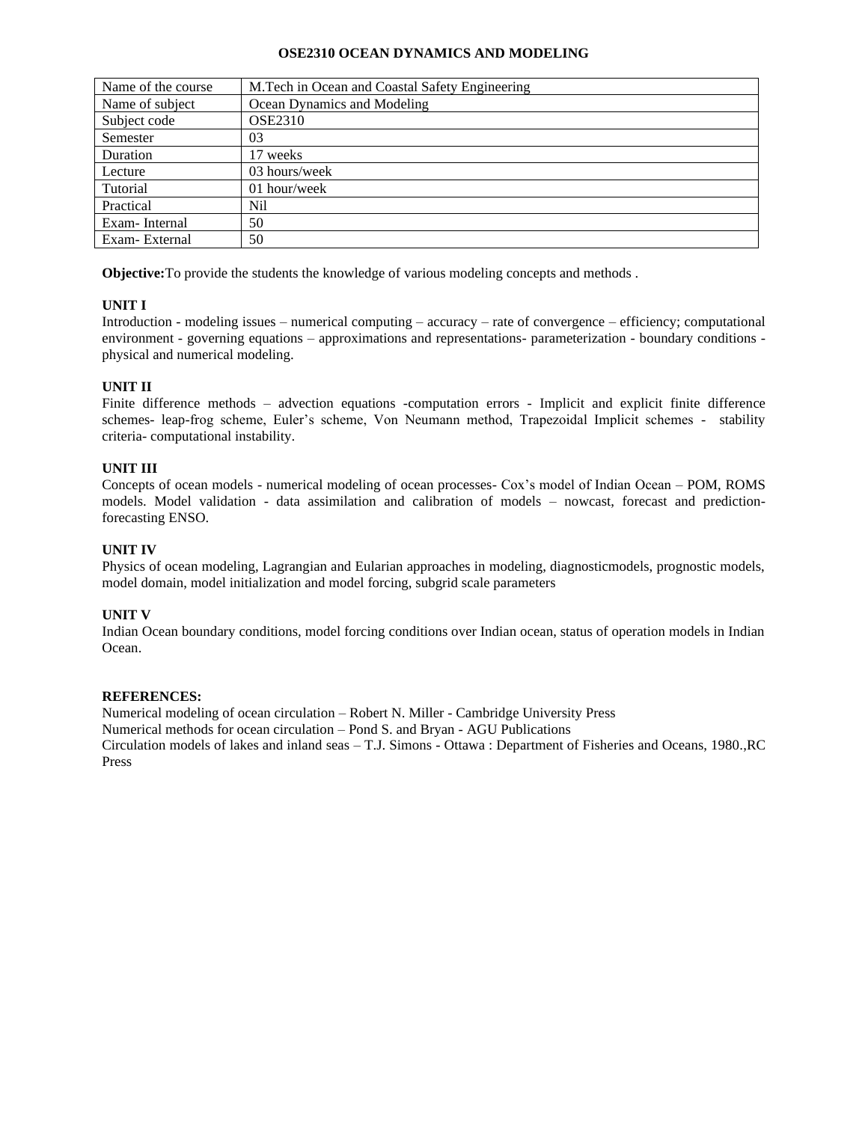### **OSE2310 OCEAN DYNAMICS AND MODELING**

| Name of the course | M.Tech in Ocean and Coastal Safety Engineering |
|--------------------|------------------------------------------------|
| Name of subject    | Ocean Dynamics and Modeling                    |
| Subject code       | <b>OSE2310</b>                                 |
| Semester           | 03                                             |
| Duration           | 17 weeks                                       |
| Lecture            | 03 hours/week                                  |
| Tutorial           | 01 hour/week                                   |
| Practical          | Nil                                            |
| Exam-Internal      | 50                                             |
| Exam-External      | 50                                             |

**Objective:**To provide the students the knowledge of various modeling concepts and methods .

## **UNIT I**

Introduction - modeling issues – numerical computing – accuracy – rate of convergence – efficiency; computational environment - governing equations – approximations and representations- parameterization - boundary conditions physical and numerical modeling.

# **UNIT II**

Finite difference methods – advection equations -computation errors - Implicit and explicit finite difference schemes- leap-frog scheme, Euler's scheme, Von Neumann method, Trapezoidal Implicit schemes - stability criteria- computational instability.

# **UNIT III**

Concepts of ocean models - numerical modeling of ocean processes- Cox's model of Indian Ocean – POM, ROMS models. Model validation - data assimilation and calibration of models – nowcast, forecast and predictionforecasting ENSO.

# **UNIT IV**

Physics of ocean modeling, Lagrangian and Eularian approaches in modeling, diagnosticmodels, prognostic models, model domain, model initialization and model forcing, subgrid scale parameters

## **UNIT V**

Indian Ocean boundary conditions, model forcing conditions over Indian ocean, status of operation models in Indian Ocean.

## **REFERENCES:**

Numerical modeling of ocean circulation – Robert N. Miller - Cambridge University Press Numerical methods for ocean circulation – Pond S. and Bryan - AGU Publications Circulation models of lakes and inland seas – T.J. Simons - Ottawa : Department of Fisheries and Oceans, 1980.,RC Press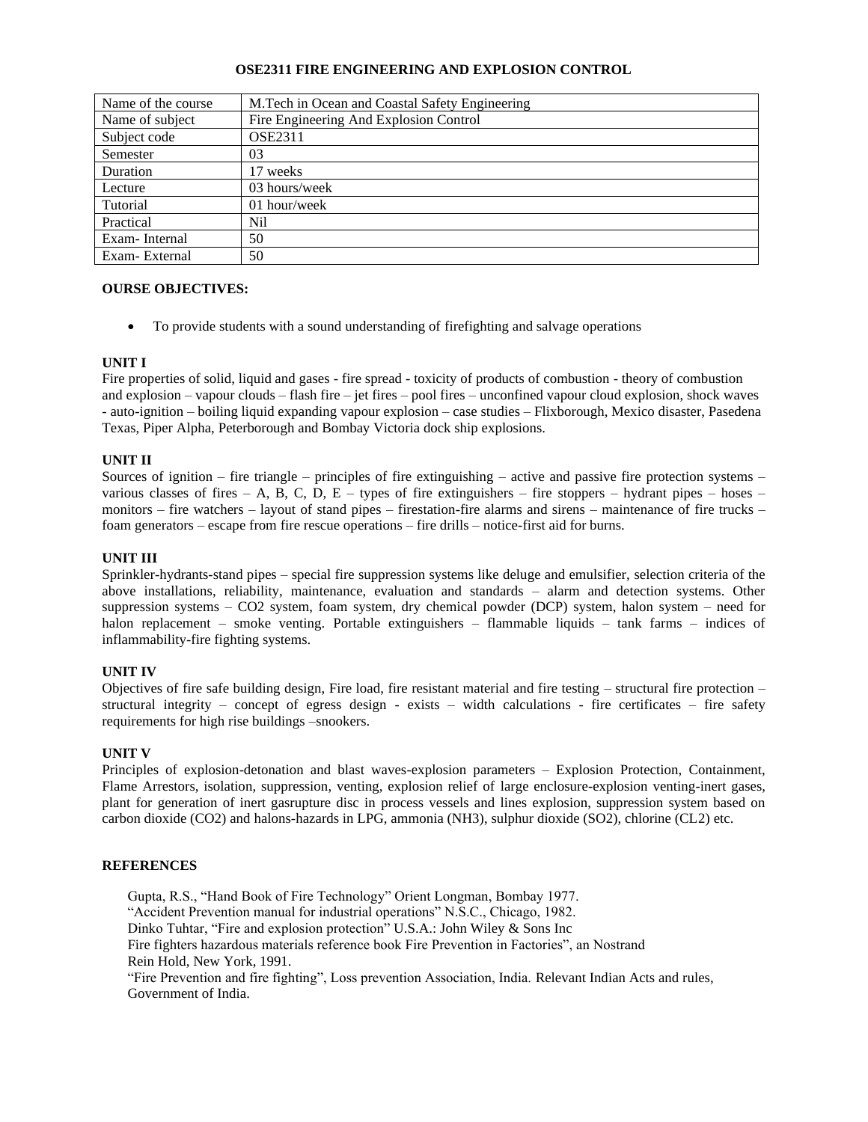## **OSE2311 FIRE ENGINEERING AND EXPLOSION CONTROL**

| Name of the course | M. Tech in Ocean and Coastal Safety Engineering |
|--------------------|-------------------------------------------------|
| Name of subject    | Fire Engineering And Explosion Control          |
| Subject code       | <b>OSE2311</b>                                  |
| Semester           | 03                                              |
| Duration           | 17 weeks                                        |
| Lecture            | 03 hours/week                                   |
| Tutorial           | 01 hour/week                                    |
| Practical          | Nil                                             |
| Exam-Internal      | 50                                              |
| Exam-External      | 50                                              |

### **OURSE OBJECTIVES:**

• To provide students with a sound understanding of firefighting and salvage operations

### **UNIT I**

Fire properties of solid, liquid and gases - fire spread - toxicity of products of combustion - theory of combustion and explosion – vapour clouds – flash fire – jet fires – pool fires – unconfined vapour cloud explosion, shock waves - auto-ignition – boiling liquid expanding vapour explosion – case studies – Flixborough, Mexico disaster, Pasedena Texas, Piper Alpha, Peterborough and Bombay Victoria dock ship explosions.

### **UNIT II**

Sources of ignition – fire triangle – principles of fire extinguishing – active and passive fire protection systems – various classes of fires – A, B, C, D, E – types of fire extinguishers – fire stoppers – hydrant pipes – hoses – monitors – fire watchers – layout of stand pipes – firestation-fire alarms and sirens – maintenance of fire trucks – foam generators – escape from fire rescue operations – fire drills – notice-first aid for burns.

#### **UNIT III**

Sprinkler-hydrants-stand pipes – special fire suppression systems like deluge and emulsifier, selection criteria of the above installations, reliability, maintenance, evaluation and standards – alarm and detection systems. Other suppression systems – CO2 system, foam system, dry chemical powder (DCP) system, halon system – need for halon replacement – smoke venting. Portable extinguishers – flammable liquids – tank farms – indices of inflammability-fire fighting systems.

### **UNIT IV**

Objectives of fire safe building design, Fire load, fire resistant material and fire testing – structural fire protection – structural integrity – concept of egress design - exists – width calculations - fire certificates – fire safety requirements for high rise buildings –snookers.

#### **UNIT V**

Principles of explosion-detonation and blast waves-explosion parameters – Explosion Protection, Containment, Flame Arrestors, isolation, suppression, venting, explosion relief of large enclosure-explosion venting-inert gases, plant for generation of inert gasrupture disc in process vessels and lines explosion, suppression system based on carbon dioxide (CO2) and halons-hazards in LPG, ammonia (NH3), sulphur dioxide (SO2), chlorine (CL2) etc.

### **REFERENCES**

Gupta, R.S., "Hand Book of Fire Technology" Orient Longman, Bombay 1977. "Accident Prevention manual for industrial operations" N.S.C., Chicago, 1982. Dinko Tuhtar, "Fire and explosion protection" U.S.A.: John Wiley & Sons Inc Fire fighters hazardous materials reference book Fire Prevention in Factories", an Nostrand Rein Hold, New York, 1991. "Fire Prevention and fire fighting", Loss prevention Association, India. Relevant Indian Acts and rules, Government of India.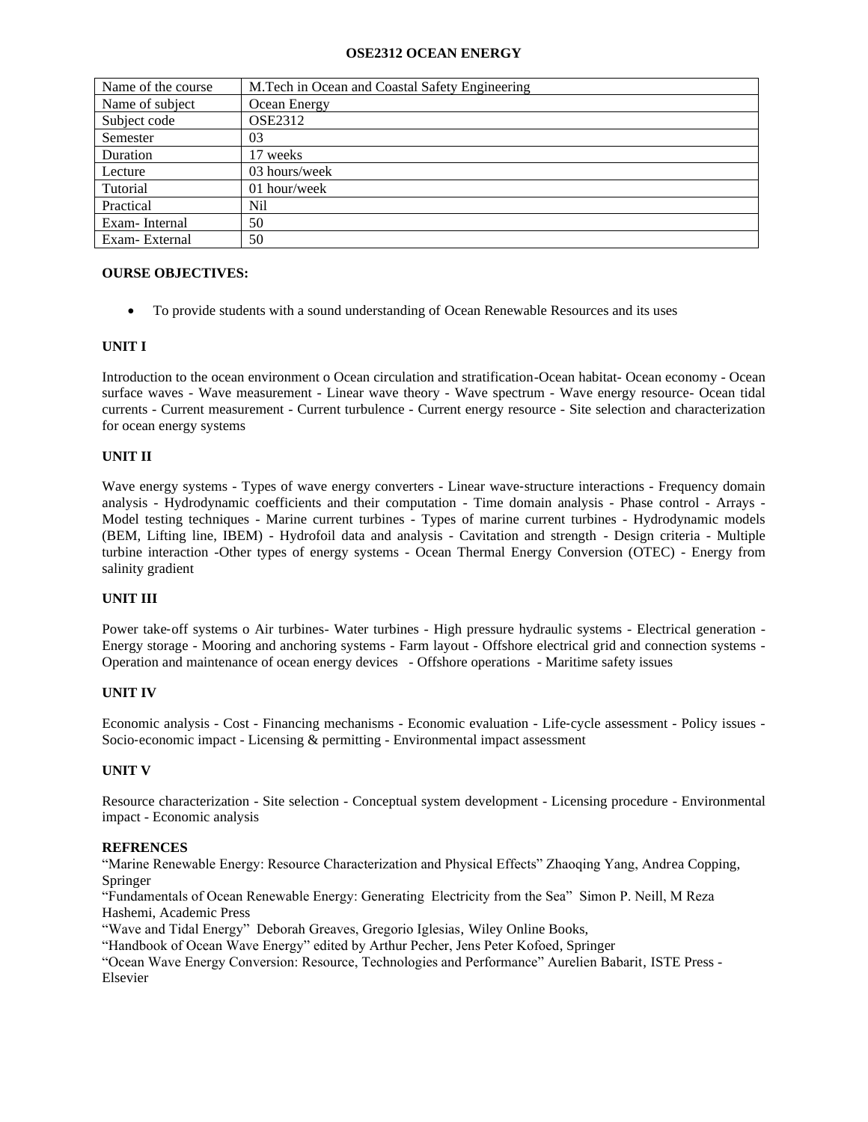## **OSE2312 OCEAN ENERGY**

| Name of the course | M.Tech in Ocean and Coastal Safety Engineering |
|--------------------|------------------------------------------------|
| Name of subject    | Ocean Energy                                   |
| Subject code       | <b>OSE2312</b>                                 |
| Semester           | 03                                             |
| Duration           | 17 weeks                                       |
| Lecture            | 03 hours/week                                  |
| Tutorial           | 01 hour/week                                   |
| Practical          | Nil                                            |
| Exam-Internal      | 50                                             |
| Exam-External      | 50                                             |

# **OURSE OBJECTIVES:**

• To provide students with a sound understanding of Ocean Renewable Resources and its uses

### **UNIT I**

Introduction to the ocean environment o Ocean circulation and stratification-Ocean habitat- Ocean economy - Ocean surface waves - Wave measurement - Linear wave theory - Wave spectrum - Wave energy resource- Ocean tidal currents - Current measurement - Current turbulence - Current energy resource - Site selection and characterization for ocean energy systems

### **UNIT II**

Wave energy systems - Types of wave energy converters - Linear wave-structure interactions - Frequency domain analysis - Hydrodynamic coefficients and their computation - Time domain analysis - Phase control - Arrays - Model testing techniques - Marine current turbines - Types of marine current turbines - Hydrodynamic models (BEM, Lifting line, IBEM) - Hydrofoil data and analysis - Cavitation and strength - Design criteria - Multiple turbine interaction -Other types of energy systems - Ocean Thermal Energy Conversion (OTEC) - Energy from salinity gradient

## **UNIT III**

Power take-off systems o Air turbines- Water turbines - High pressure hydraulic systems - Electrical generation -Energy storage - Mooring and anchoring systems - Farm layout - Offshore electrical grid and connection systems - Operation and maintenance of ocean energy devices - Offshore operations - Maritime safety issues

### **UNIT IV**

Economic analysis - Cost - Financing mechanisms - Economic evaluation - Life‐cycle assessment - Policy issues - Socio-economic impact - Licensing & permitting - Environmental impact assessment

## **UNIT V**

Resource characterization - Site selection - Conceptual system development - Licensing procedure - Environmental impact - Economic analysis

### **REFRENCES**

"Marine Renewable Energy: Resource Characterization and Physical Effects" Zhaoqing Yang, Andrea Copping, Springer

"Fundamentals of Ocean Renewable Energy: Generating Electricity from the Sea" Simon P. Neill, M Reza Hashemi, Academic Press

"Wave and Tidal Energy" Deborah Greaves, Gregorio Iglesias, Wiley Online Books,

"Handbook of Ocean Wave Energy" edited by Arthur Pecher, Jens Peter Kofoed, Springer

"Ocean Wave Energy Conversion: Resource, Technologies and Performance" Aurelien Babarit, ISTE Press - Elsevier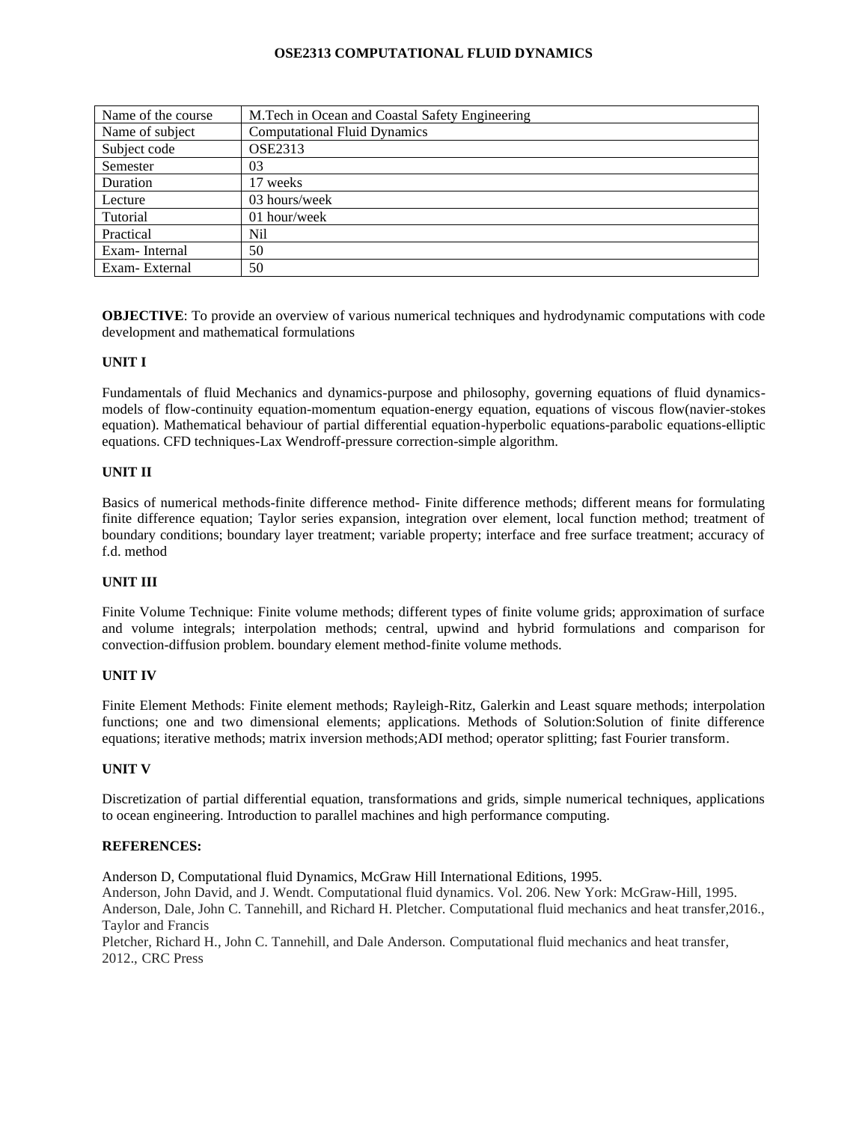## **OSE2313 COMPUTATIONAL FLUID DYNAMICS**

| Name of the course | M.Tech in Ocean and Coastal Safety Engineering |
|--------------------|------------------------------------------------|
| Name of subject    | <b>Computational Fluid Dynamics</b>            |
| Subject code       | <b>OSE2313</b>                                 |
| Semester           | 03                                             |
| Duration           | 17 weeks                                       |
| Lecture            | 03 hours/week                                  |
| Tutorial           | 01 hour/week                                   |
| Practical          | Nil                                            |
| Exam-Internal      | 50                                             |
| Exam-External      | 50                                             |

**OBJECTIVE**: To provide an overview of various numerical techniques and hydrodynamic computations with code development and mathematical formulations

### **UNIT I**

Fundamentals of fluid Mechanics and dynamics-purpose and philosophy, governing equations of fluid dynamicsmodels of flow-continuity equation-momentum equation-energy equation, equations of viscous flow(navier-stokes equation). Mathematical behaviour of partial differential equation-hyperbolic equations-parabolic equations-elliptic equations. CFD techniques-Lax Wendroff-pressure correction-simple algorithm.

### **UNIT II**

Basics of numerical methods-finite difference method- Finite difference methods; different means for formulating finite difference equation; Taylor series expansion, integration over element, local function method; treatment of boundary conditions; boundary layer treatment; variable property; interface and free surface treatment; accuracy of f.d. method

### **UNIT III**

Finite Volume Technique: Finite volume methods; different types of finite volume grids; approximation of surface and volume integrals; interpolation methods; central, upwind and hybrid formulations and comparison for convection-diffusion problem. boundary element method-finite volume methods.

### **UNIT IV**

Finite Element Methods: Finite element methods; Rayleigh-Ritz, Galerkin and Least square methods; interpolation functions; one and two dimensional elements; applications. Methods of Solution:Solution of finite difference equations; iterative methods; matrix inversion methods;ADI method; operator splitting; fast Fourier transform.

### **UNIT V**

Discretization of partial differential equation, transformations and grids, simple numerical techniques, applications to ocean engineering. Introduction to parallel machines and high performance computing.

### **REFERENCES:**

Anderson D, Computational fluid Dynamics, McGraw Hill International Editions, 1995. Anderson, John David, and J. Wendt. Computational fluid dynamics. Vol. 206. New York: McGraw-Hill, 1995.

Anderson, Dale, John C. Tannehill, and Richard H. Pletcher. Computational fluid mechanics and heat transfer,2016., Taylor and Francis

Pletcher, Richard H., John C. Tannehill, and Dale Anderson. Computational fluid mechanics and heat transfer, 2012., CRC Press